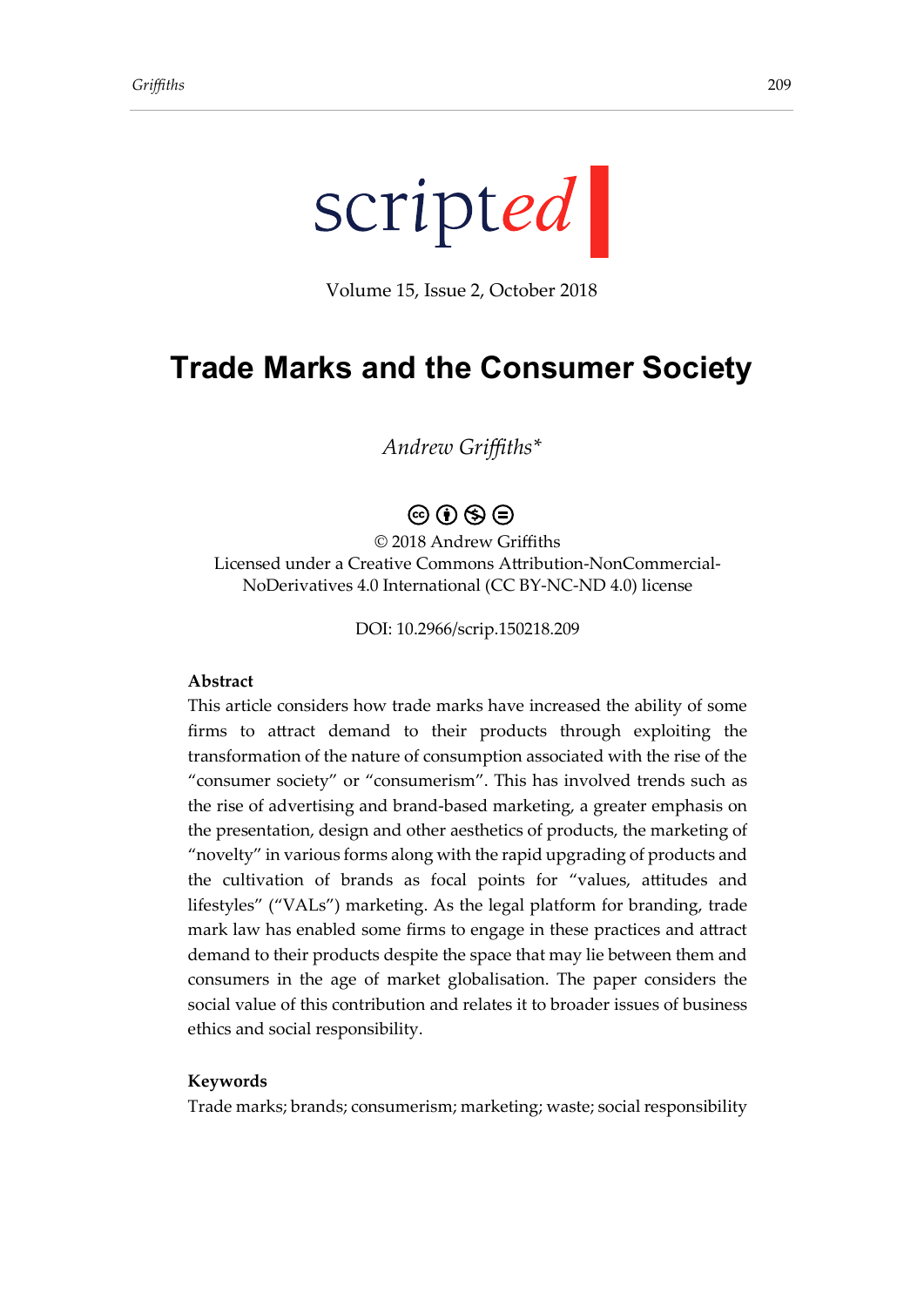

Volume 15, Issue 2, October 2018

# **Trade Marks and the Consumer Society**

*Andrew Griffiths\**

## $\circledcirc$   $\circledcirc$   $\circledcirc$

© 2018 Andrew Griffiths Licensed under a Creative Commons Attribution-NonCommercial-NoDerivatives 4.0 International (CC BY-NC-ND 4.0) license

DOI: 10.2966/scrip.150218.209

#### **Abstract**

This article considers how trade marks have increased the ability of some firms to attract demand to their products through exploiting the transformation of the nature of consumption associated with the rise of the "consumer society" or "consumerism". This has involved trends such as the rise of advertising and brand-based marketing, a greater emphasis on the presentation, design and other aesthetics of products, the marketing of "novelty" in various forms along with the rapid upgrading of products and the cultivation of brands as focal points for "values, attitudes and lifestyles" ("VALs") marketing. As the legal platform for branding, trade mark law has enabled some firms to engage in these practices and attract demand to their products despite the space that may lie between them and consumers in the age of market globalisation. The paper considers the social value of this contribution and relates it to broader issues of business ethics and social responsibility.

#### **Keywords**

Trade marks; brands; consumerism; marketing; waste; social responsibility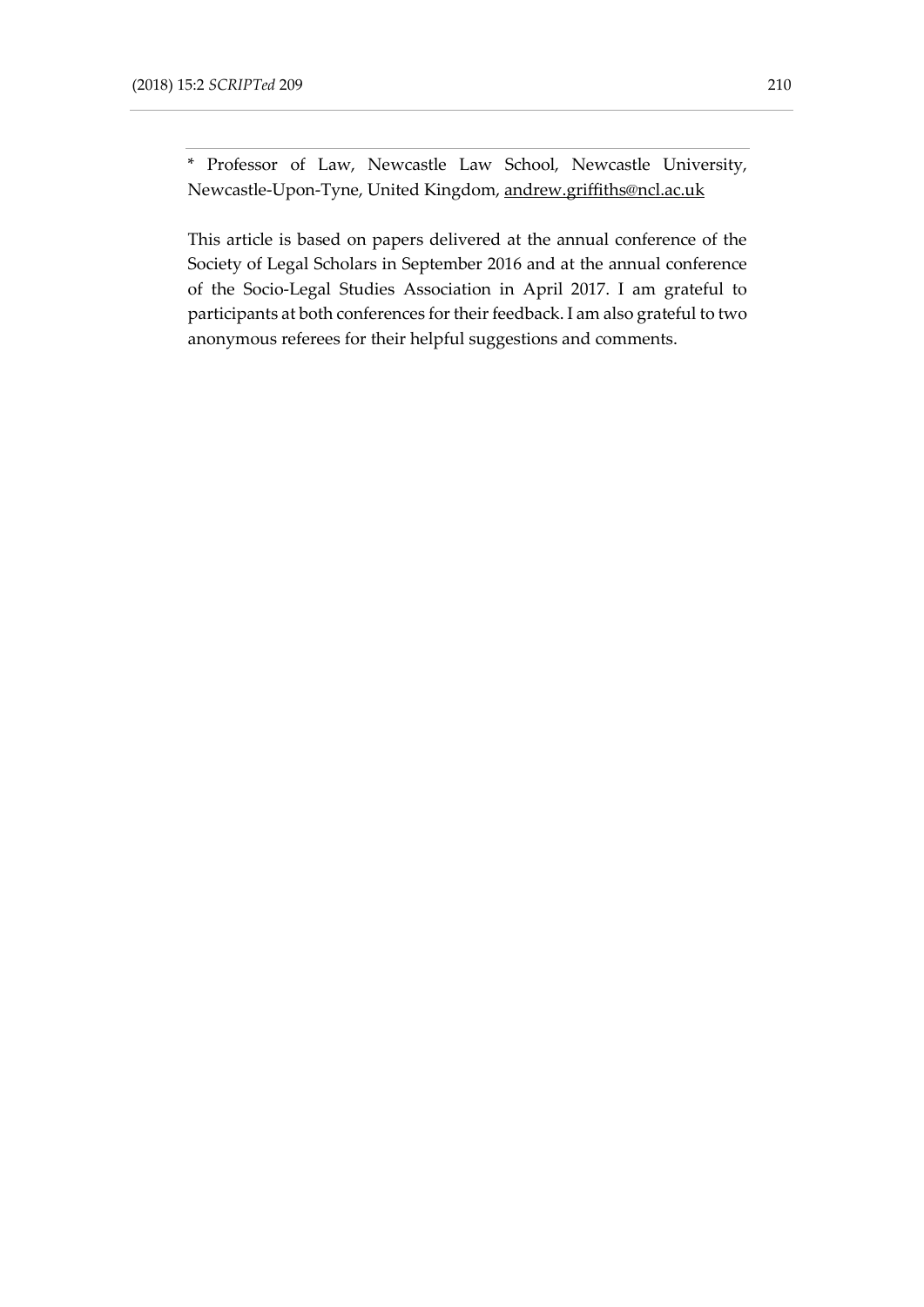\* Professor of Law, Newcastle Law School, Newcastle University, Newcastle-Upon-Tyne, United Kingdom, [andrew.griffiths@ncl.ac.uk](mailto:andrew.griffiths@ncl.ac.uk)

This article is based on papers delivered at the annual conference of the Society of Legal Scholars in September 2016 and at the annual conference of the Socio-Legal Studies Association in April 2017. I am grateful to participants at both conferences for their feedback. I am also grateful to two anonymous referees for their helpful suggestions and comments.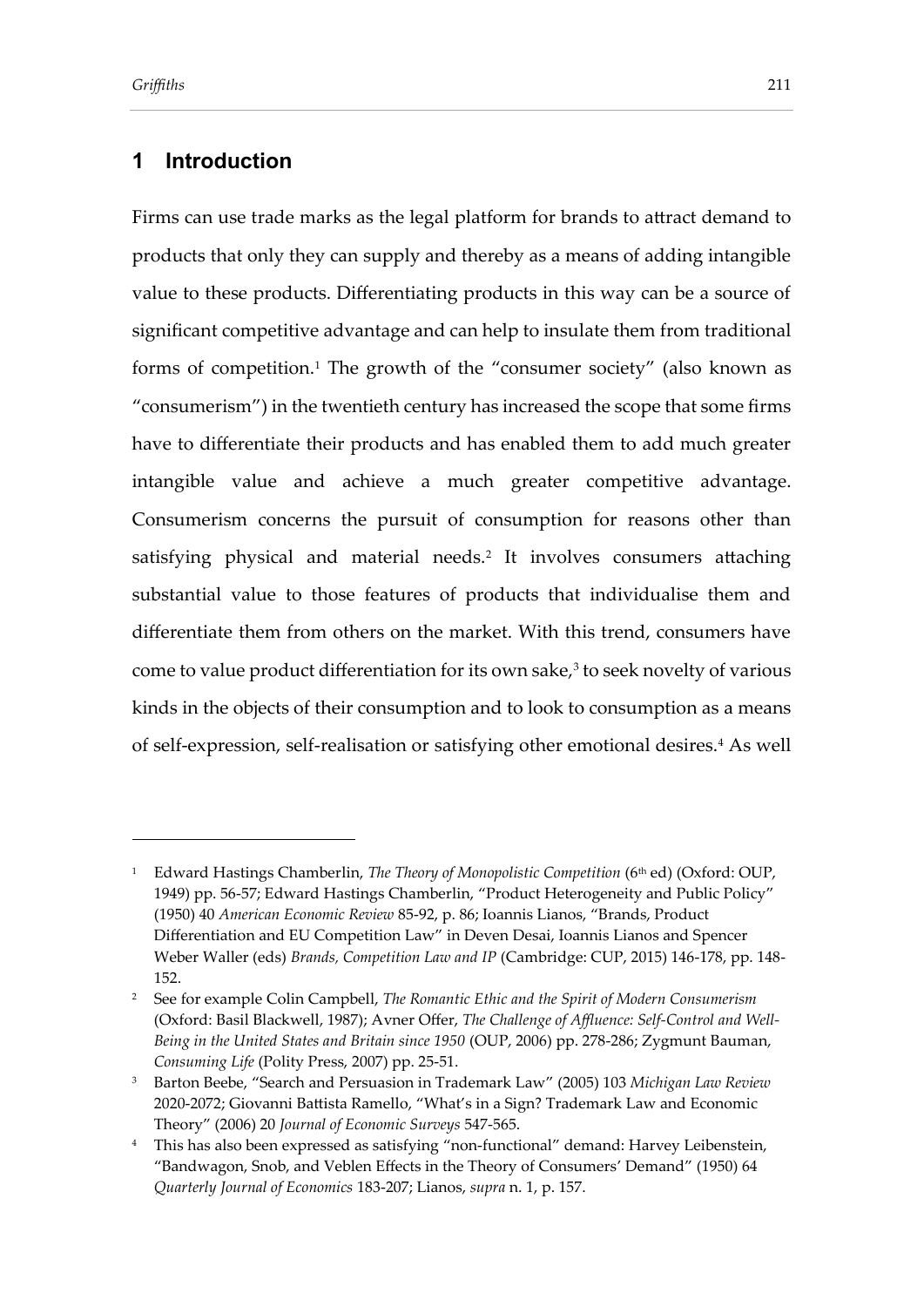### **1 Introduction**

Firms can use trade marks as the legal platform for brands to attract demand to products that only they can supply and thereby as a means of adding intangible value to these products. Differentiating products in this way can be a source of significant competitive advantage and can help to insulate them from traditional forms of competition.<sup>1</sup> The growth of the "consumer society" (also known as "consumerism") in the twentieth century has increased the scope that some firms have to differentiate their products and has enabled them to add much greater intangible value and achieve a much greater competitive advantage. Consumerism concerns the pursuit of consumption for reasons other than satisfying physical and material needs.<sup>2</sup> It involves consumers attaching substantial value to those features of products that individualise them and differentiate them from others on the market. With this trend, consumers have come to value product differentiation for its own sake, $^3$  to seek novelty of various kinds in the objects of their consumption and to look to consumption as a means of self-expression, self-realisation or satisfying other emotional desires.<sup>4</sup> As well

<sup>&</sup>lt;sup>1</sup> Edward Hastings Chamberlin, *The Theory of Monopolistic Competition* (6<sup>th</sup> ed) (Oxford: OUP, 1949) pp. 56-57; Edward Hastings Chamberlin, "Product Heterogeneity and Public Policy" (1950) 40 *American Economic Review* 85-92, p. 86; Ioannis Lianos, "Brands, Product Differentiation and EU Competition Law" in Deven Desai, Ioannis Lianos and Spencer Weber Waller (eds) *Brands, Competition Law and IP* (Cambridge: CUP, 2015) 146-178, pp. 148- 152.

<sup>2</sup> See for example Colin Campbell, *The Romantic Ethic and the Spirit of Modern Consumerism* (Oxford: Basil Blackwell, 1987); Avner Offer, *The Challenge of Affluence: Self-Control and Well-Being in the United States and Britain since 1950* (OUP, 2006) pp. 278-286; Zygmunt Bauman, *Consuming Life* (Polity Press, 2007) pp. 25-51.

<sup>3</sup> Barton Beebe, "Search and Persuasion in Trademark Law" (2005) 103 *Michigan Law Review*  2020-2072; Giovanni Battista Ramello, "What's in a Sign? Trademark Law and Economic Theory" (2006) 20 *Journal of Economic Surveys* 547-565.

<sup>4</sup> This has also been expressed as satisfying "non-functional" demand: Harvey Leibenstein, "Bandwagon, Snob, and Veblen Effects in the Theory of Consumers' Demand" (1950) 64 *Quarterly Journal of Economics* 183-207; Lianos, *supra* n. 1, p. 157.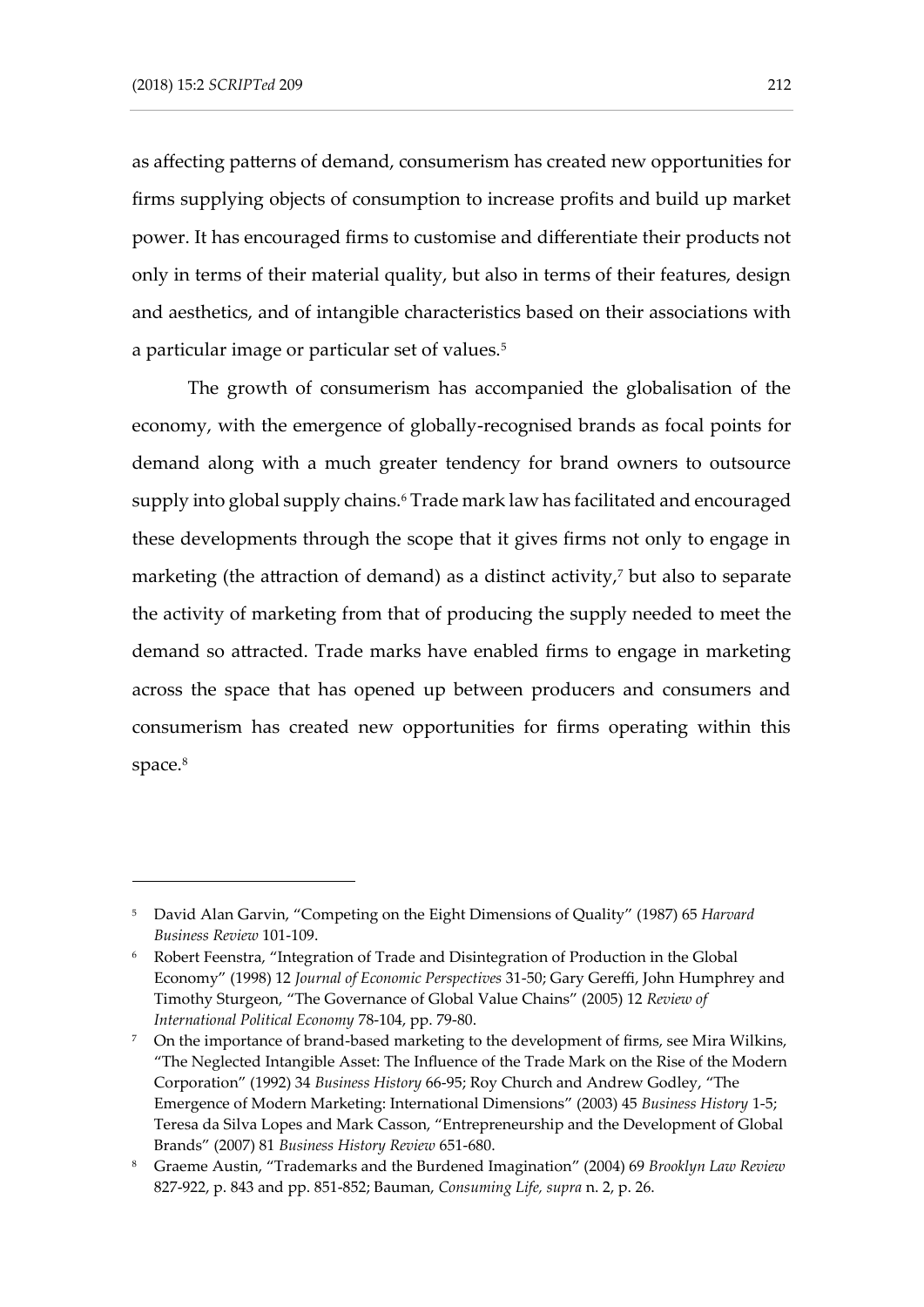as affecting patterns of demand, consumerism has created new opportunities for firms supplying objects of consumption to increase profits and build up market power. It has encouraged firms to customise and differentiate their products not only in terms of their material quality, but also in terms of their features, design and aesthetics, and of intangible characteristics based on their associations with a particular image or particular set of values.<sup>5</sup>

The growth of consumerism has accompanied the globalisation of the economy, with the emergence of globally-recognised brands as focal points for demand along with a much greater tendency for brand owners to outsource supply into global supply chains.<sup>6</sup> Trade mark law has facilitated and encouraged these developments through the scope that it gives firms not only to engage in marketing (the attraction of demand) as a distinct activity, $\bar{y}$  but also to separate the activity of marketing from that of producing the supply needed to meet the demand so attracted. Trade marks have enabled firms to engage in marketing across the space that has opened up between producers and consumers and consumerism has created new opportunities for firms operating within this space.<sup>8</sup>

<sup>5</sup> David Alan Garvin, "Competing on the Eight Dimensions of Quality" (1987) 65 *Harvard Business Review* 101-109.

<sup>6</sup> Robert Feenstra, "Integration of Trade and Disintegration of Production in the Global Economy" (1998) 12 *Journal of Economic Perspectives* 31-50; Gary Gereffi, John Humphrey and Timothy Sturgeon, "The Governance of Global Value Chains" (2005) 12 *Review of International Political Economy* 78-104, pp. 79-80.

<sup>&</sup>lt;sup>7</sup> On the importance of brand-based marketing to the development of firms, see Mira Wilkins, "The Neglected Intangible Asset: The Influence of the Trade Mark on the Rise of the Modern Corporation" (1992) 34 *Business History* 66-95; Roy Church and Andrew Godley, "The Emergence of Modern Marketing: International Dimensions" (2003) 45 *Business History* 1-5; Teresa da Silva Lopes and Mark Casson, "Entrepreneurship and the Development of Global Brands" (2007) 81 *Business History Review* 651-680.

<sup>8</sup> Graeme Austin, "Trademarks and the Burdened Imagination" (2004) 69 *Brooklyn Law Review*  827-922, p. 843 and pp. 851-852; Bauman, *Consuming Life, supra* n. 2, p. 26.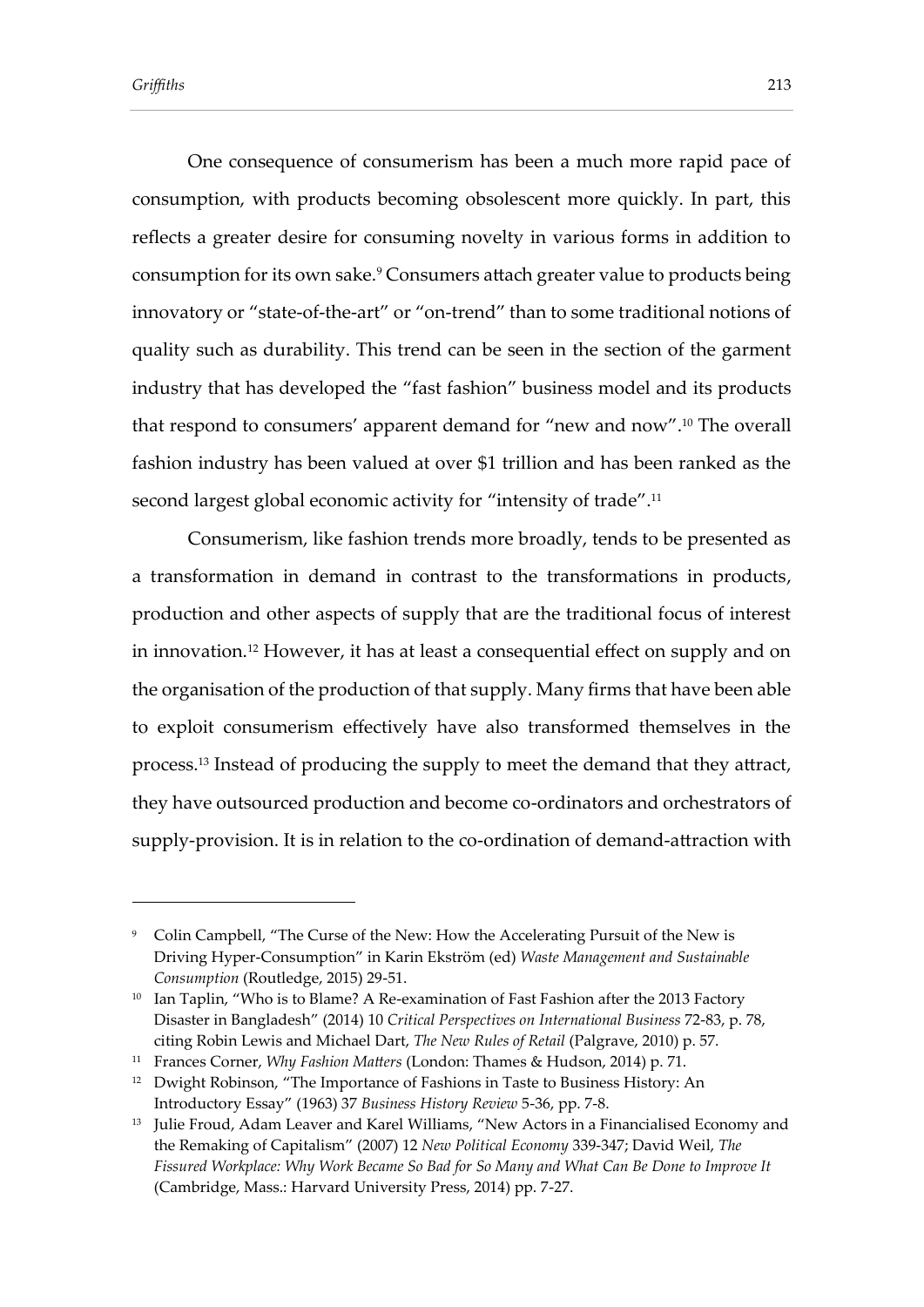One consequence of consumerism has been a much more rapid pace of consumption, with products becoming obsolescent more quickly. In part, this reflects a greater desire for consuming novelty in various forms in addition to consumption for its own sake.<sup>9</sup> Consumers attach greater value to products being innovatory or "state-of-the-art" or "on-trend" than to some traditional notions of quality such as durability. This trend can be seen in the section of the garment industry that has developed the "fast fashion" business model and its products that respond to consumers' apparent demand for "new and now".<sup>10</sup> The overall fashion industry has been valued at over \$1 trillion and has been ranked as the second largest global economic activity for "intensity of trade".<sup>11</sup>

Consumerism, like fashion trends more broadly, tends to be presented as a transformation in demand in contrast to the transformations in products, production and other aspects of supply that are the traditional focus of interest in innovation.<sup>12</sup> However, it has at least a consequential effect on supply and on the organisation of the production of that supply. Many firms that have been able to exploit consumerism effectively have also transformed themselves in the process.<sup>13</sup> Instead of producing the supply to meet the demand that they attract, they have outsourced production and become co-ordinators and orchestrators of supply-provision. It is in relation to the co-ordination of demand-attraction with

<sup>9</sup> Colin Campbell, "The Curse of the New: How the Accelerating Pursuit of the New is Driving Hyper-Consumption" in Karin Ekström (ed) *Waste Management and Sustainable Consumption* (Routledge, 2015) 29-51.

<sup>&</sup>lt;sup>10</sup> Ian Taplin, "Who is to Blame? A Re-examination of Fast Fashion after the 2013 Factory Disaster in Bangladesh" (2014) 10 *Critical Perspectives on International Business* 72-83, p. 78, citing Robin Lewis and Michael Dart, *The New Rules of Retail* (Palgrave, 2010) p. 57.

<sup>11</sup> Frances Corner, *Why Fashion Matters* (London: Thames & Hudson, 2014) p. 71.

<sup>&</sup>lt;sup>12</sup> Dwight Robinson, "The Importance of Fashions in Taste to Business History: An Introductory Essay" (1963) 37 *Business History Review* 5-36, pp. 7-8.

<sup>&</sup>lt;sup>13</sup> Julie Froud, Adam Leaver and Karel Williams, "New Actors in a Financialised Economy and the Remaking of Capitalism" (2007) 12 *New Political Economy* 339-347; David Weil, *The Fissured Workplace: Why Work Became So Bad for So Many and What Can Be Done to Improve It*  (Cambridge, Mass.: Harvard University Press, 2014) pp. 7-27.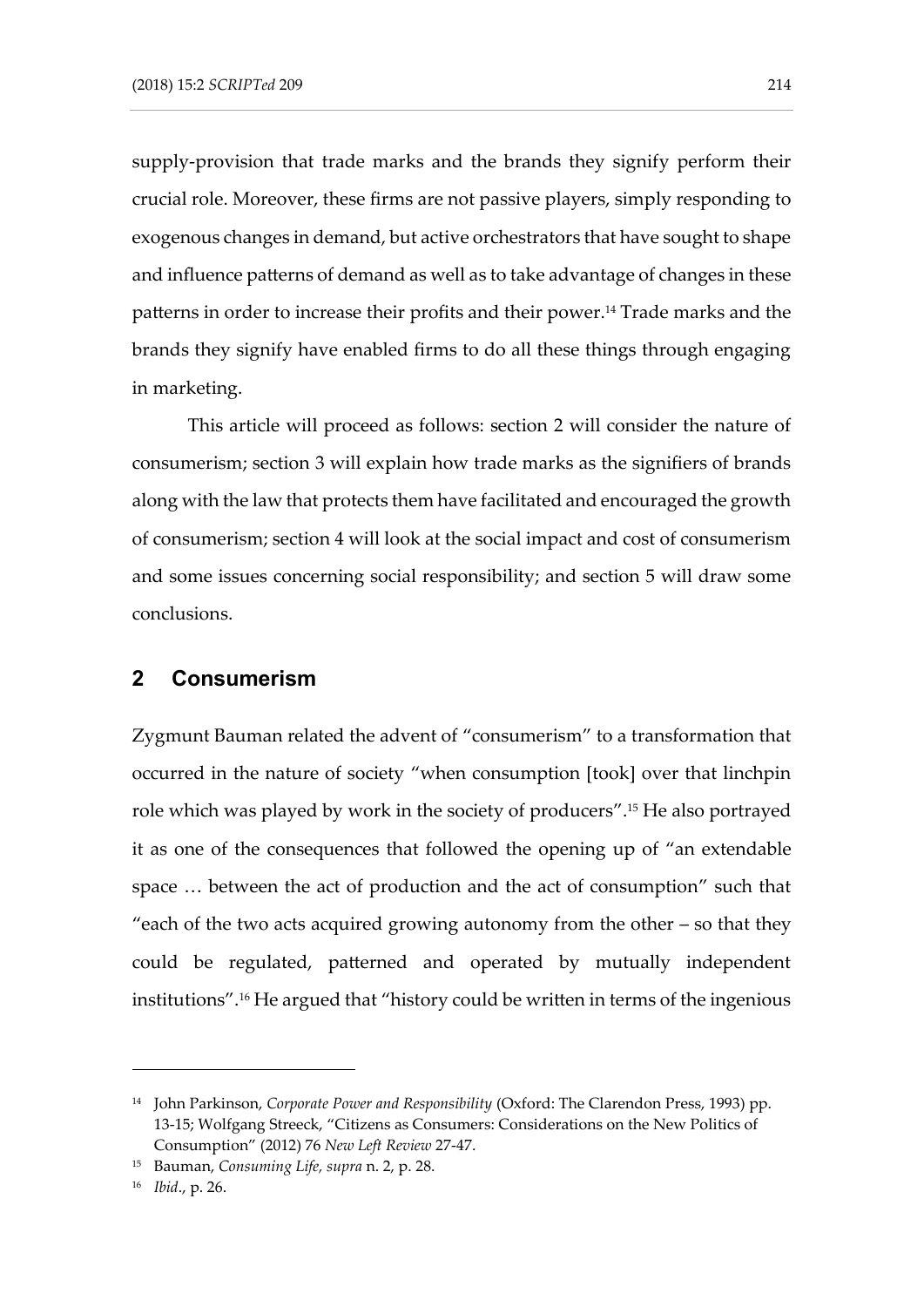supply-provision that trade marks and the brands they signify perform their crucial role. Moreover, these firms are not passive players, simply responding to exogenous changes in demand, but active orchestrators that have sought to shape and influence patterns of demand as well as to take advantage of changes in these patterns in order to increase their profits and their power.<sup>14</sup> Trade marks and the brands they signify have enabled firms to do all these things through engaging in marketing.

This article will proceed as follows: section 2 will consider the nature of consumerism; section 3 will explain how trade marks as the signifiers of brands along with the law that protects them have facilitated and encouraged the growth of consumerism; section 4 will look at the social impact and cost of consumerism and some issues concerning social responsibility; and section 5 will draw some conclusions.

## **2 Consumerism**

Zygmunt Bauman related the advent of "consumerism" to a transformation that occurred in the nature of society "when consumption [took] over that linchpin role which was played by work in the society of producers".<sup>15</sup> He also portrayed it as one of the consequences that followed the opening up of "an extendable space … between the act of production and the act of consumption" such that "each of the two acts acquired growing autonomy from the other – so that they could be regulated, patterned and operated by mutually independent institutions".<sup>16</sup> He argued that "history could be written in terms of the ingenious

<sup>14</sup> John Parkinson, *Corporate Power and Responsibility* (Oxford: The Clarendon Press, 1993) pp. 13-15; Wolfgang Streeck, "Citizens as Consumers: Considerations on the New Politics of Consumption" (2012) 76 *New Left Review* 27-47.

<sup>15</sup> Bauman, *Consuming Life, supra* n. 2, p. 28.

<sup>16</sup> *Ibid*., p. 26.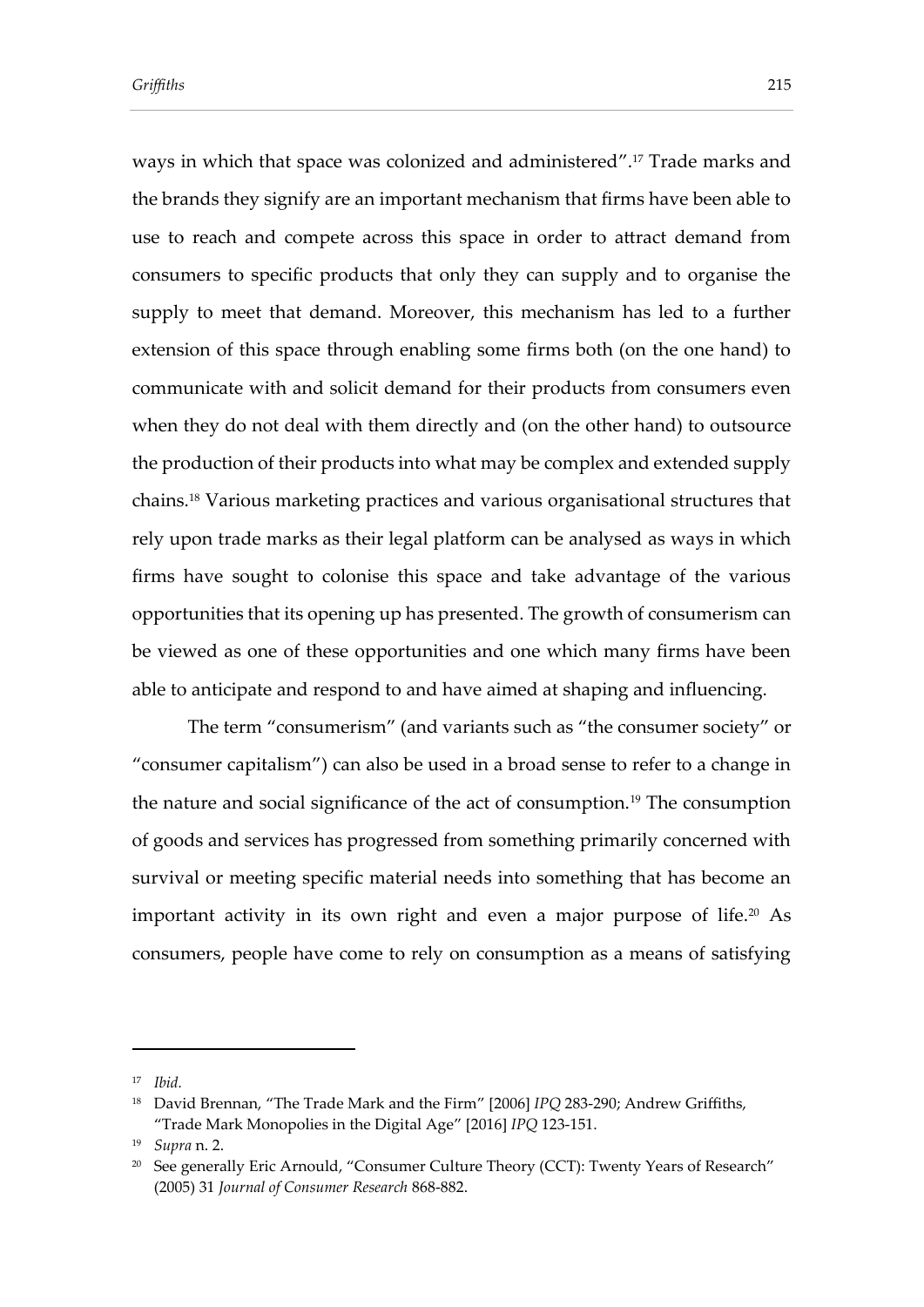ways in which that space was colonized and administered".<sup>17</sup> Trade marks and the brands they signify are an important mechanism that firms have been able to use to reach and compete across this space in order to attract demand from consumers to specific products that only they can supply and to organise the supply to meet that demand. Moreover, this mechanism has led to a further extension of this space through enabling some firms both (on the one hand) to communicate with and solicit demand for their products from consumers even when they do not deal with them directly and (on the other hand) to outsource the production of their products into what may be complex and extended supply chains.<sup>18</sup> Various marketing practices and various organisational structures that rely upon trade marks as their legal platform can be analysed as ways in which firms have sought to colonise this space and take advantage of the various opportunities that its opening up has presented. The growth of consumerism can be viewed as one of these opportunities and one which many firms have been able to anticipate and respond to and have aimed at shaping and influencing.

The term "consumerism" (and variants such as "the consumer society" or "consumer capitalism") can also be used in a broad sense to refer to a change in the nature and social significance of the act of consumption.<sup>19</sup> The consumption of goods and services has progressed from something primarily concerned with survival or meeting specific material needs into something that has become an important activity in its own right and even a major purpose of life.<sup>20</sup> As consumers, people have come to rely on consumption as a means of satisfying

<sup>17</sup> *Ibid.*

<sup>18</sup> David Brennan, "The Trade Mark and the Firm" [2006] *IPQ* 283-290; Andrew Griffiths, "Trade Mark Monopolies in the Digital Age" [2016] *IPQ* 123-151.

<sup>19</sup> *Supra* n. 2.

<sup>&</sup>lt;sup>20</sup> See generally Eric Arnould, "Consumer Culture Theory (CCT): Twenty Years of Research" (2005) 31 *Journal of Consumer Research* 868-882.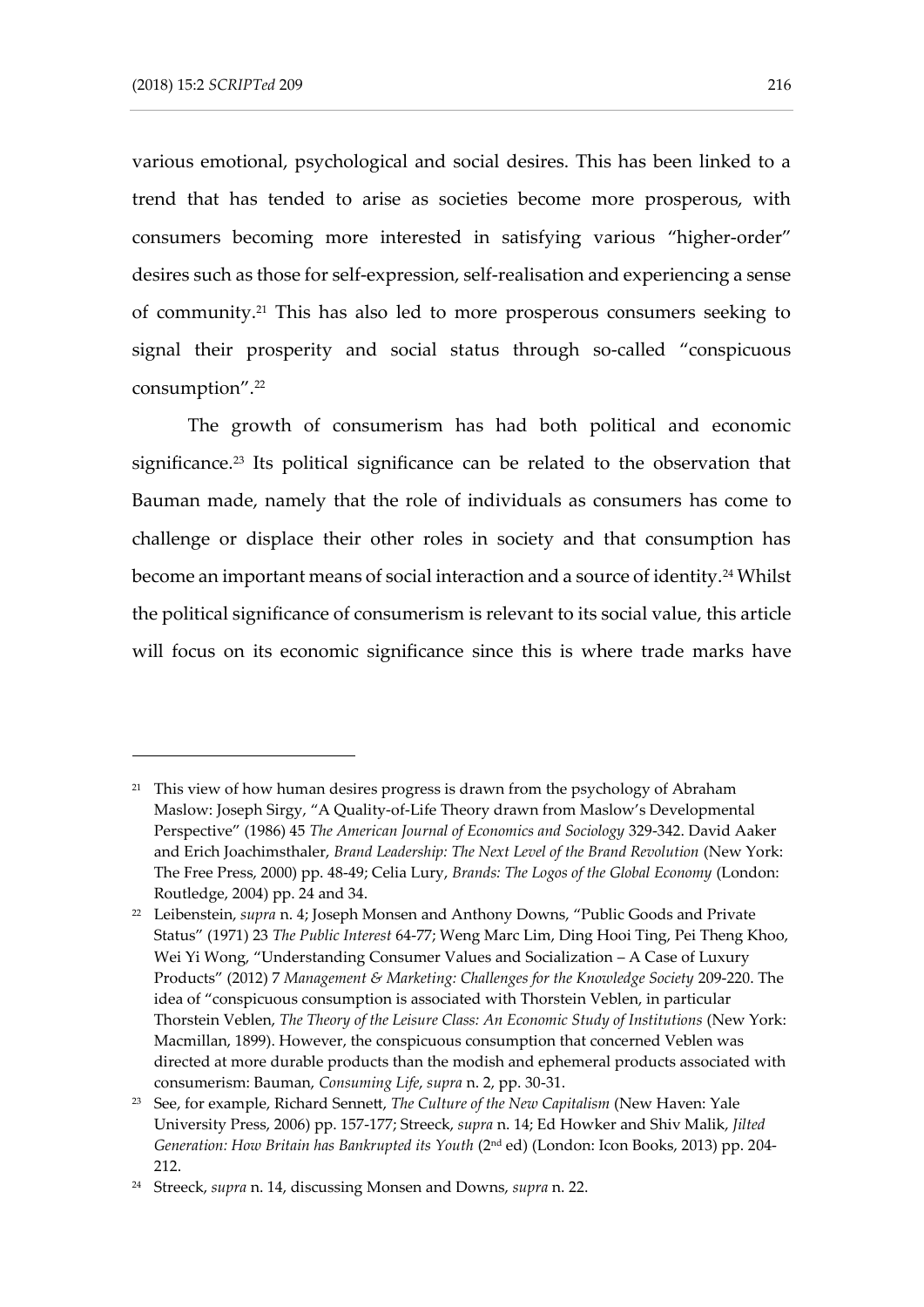various emotional, psychological and social desires. This has been linked to a trend that has tended to arise as societies become more prosperous, with consumers becoming more interested in satisfying various "higher-order" desires such as those for self-expression, self-realisation and experiencing a sense of community.<sup>21</sup> This has also led to more prosperous consumers seeking to signal their prosperity and social status through so-called "conspicuous consumption".<sup>22</sup>

The growth of consumerism has had both political and economic significance.<sup>23</sup> Its political significance can be related to the observation that Bauman made, namely that the role of individuals as consumers has come to challenge or displace their other roles in society and that consumption has become an important means of social interaction and a source of identity.<sup>24</sup> Whilst the political significance of consumerism is relevant to its social value, this article will focus on its economic significance since this is where trade marks have

<sup>&</sup>lt;sup>21</sup> This view of how human desires progress is drawn from the psychology of Abraham Maslow: Joseph Sirgy, "A Quality-of-Life Theory drawn from Maslow's Developmental Perspective" (1986) 45 *The American Journal of Economics and Sociology* 329-342. David Aaker and Erich Joachimsthaler, *Brand Leadership: The Next Level of the Brand Revolution* (New York: The Free Press, 2000) pp. 48-49; Celia Lury, *Brands: The Logos of the Global Economy* (London: Routledge, 2004) pp. 24 and 34.

<sup>&</sup>lt;sup>22</sup> Leibenstein, *supra* n. 4; Joseph Monsen and Anthony Downs, "Public Goods and Private Status" (1971) 23 *The Public Interest* 64-77; Weng Marc Lim, Ding Hooi Ting, Pei Theng Khoo, Wei Yi Wong, "Understanding Consumer Values and Socialization – A Case of Luxury Products" (2012) 7 *Management & Marketing: Challenges for the Knowledge Society* 209-220. The idea of "conspicuous consumption is associated with Thorstein Veblen, in particular Thorstein Veblen, *The Theory of the Leisure Class: An Economic Study of Institutions* (New York: Macmillan, 1899). However, the conspicuous consumption that concerned Veblen was directed at more durable products than the modish and ephemeral products associated with consumerism: Bauman, *Consuming Life*, *supra* n. 2, pp. 30-31.

<sup>23</sup> See, for example, Richard Sennett, *The Culture of the New Capitalism* (New Haven: Yale University Press, 2006) pp. 157-177; Streeck, *supra* n. 14; Ed Howker and Shiv Malik, *Jilted Generation: How Britain has Bankrupted its Youth* (2nd ed) (London: Icon Books, 2013) pp. 204- 212.

<sup>24</sup> Streeck, *supra* n. 14, discussing Monsen and Downs, *supra* n. 22.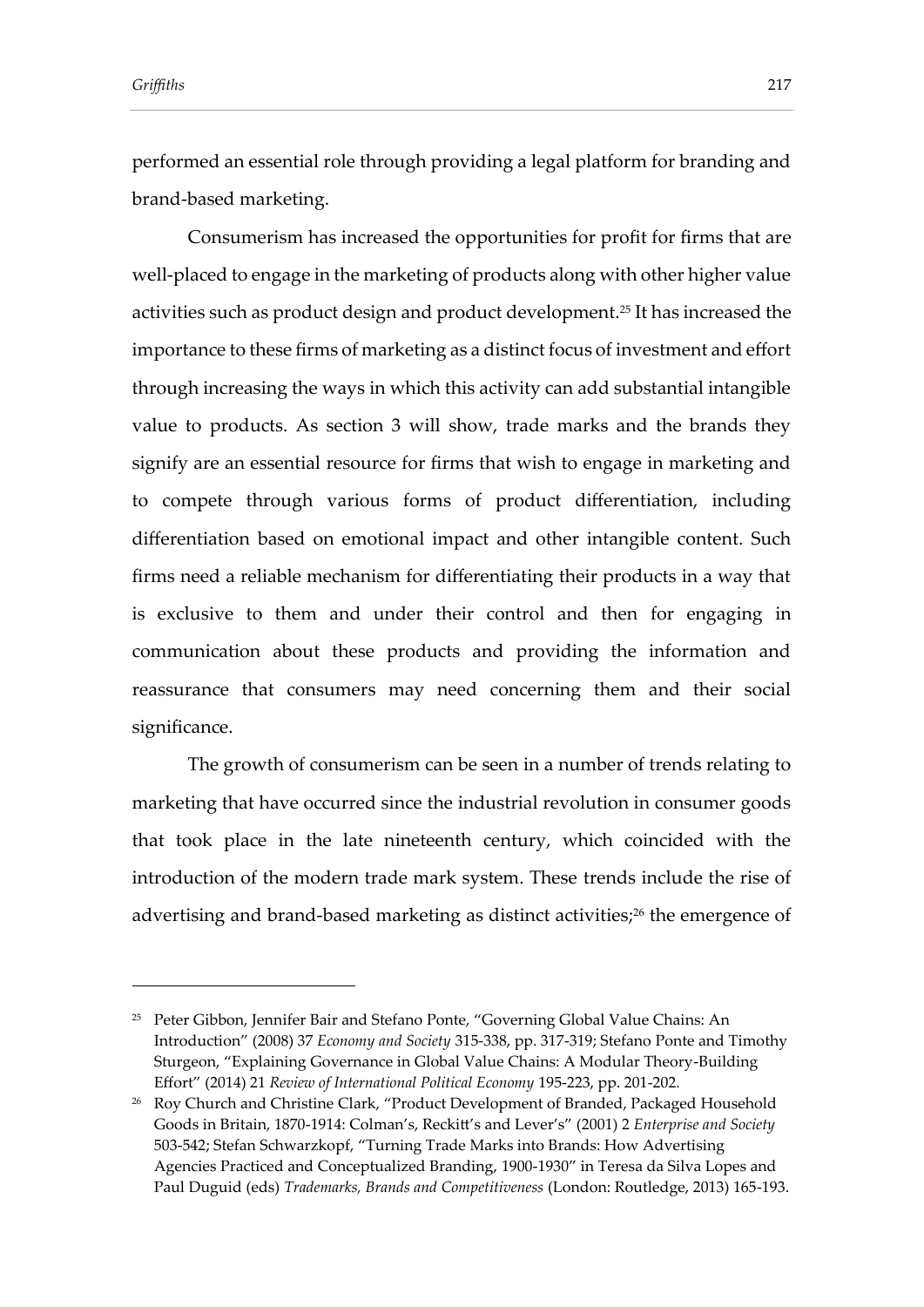performed an essential role through providing a legal platform for branding and brand-based marketing.

Consumerism has increased the opportunities for profit for firms that are well-placed to engage in the marketing of products along with other higher value activities such as product design and product development.<sup>25</sup> It has increased the importance to these firms of marketing as a distinct focus of investment and effort through increasing the ways in which this activity can add substantial intangible value to products. As section 3 will show, trade marks and the brands they signify are an essential resource for firms that wish to engage in marketing and to compete through various forms of product differentiation, including differentiation based on emotional impact and other intangible content. Such firms need a reliable mechanism for differentiating their products in a way that is exclusive to them and under their control and then for engaging in communication about these products and providing the information and reassurance that consumers may need concerning them and their social significance.

The growth of consumerism can be seen in a number of trends relating to marketing that have occurred since the industrial revolution in consumer goods that took place in the late nineteenth century, which coincided with the introduction of the modern trade mark system. These trends include the rise of advertising and brand-based marketing as distinct activities;<sup>26</sup> the emergence of

<sup>&</sup>lt;sup>25</sup> Peter Gibbon, Jennifer Bair and Stefano Ponte, "Governing Global Value Chains: An Introduction" (2008) 37 *Economy and Society* 315-338, pp. 317-319; Stefano Ponte and Timothy Sturgeon, "Explaining Governance in Global Value Chains: A Modular Theory-Building Effort" (2014) 21 *Review of International Political Economy* 195-223, pp. 201-202.

<sup>&</sup>lt;sup>26</sup> Roy Church and Christine Clark, "Product Development of Branded, Packaged Household Goods in Britain, 1870-1914: Colman's, Reckitt's and Lever's" (2001) 2 *Enterprise and Society*  503-542; Stefan Schwarzkopf, "Turning Trade Marks into Brands: How Advertising Agencies Practiced and Conceptualized Branding, 1900-1930" in Teresa da Silva Lopes and Paul Duguid (eds) *Trademarks, Brands and Competitiveness* (London: Routledge, 2013) 165-193.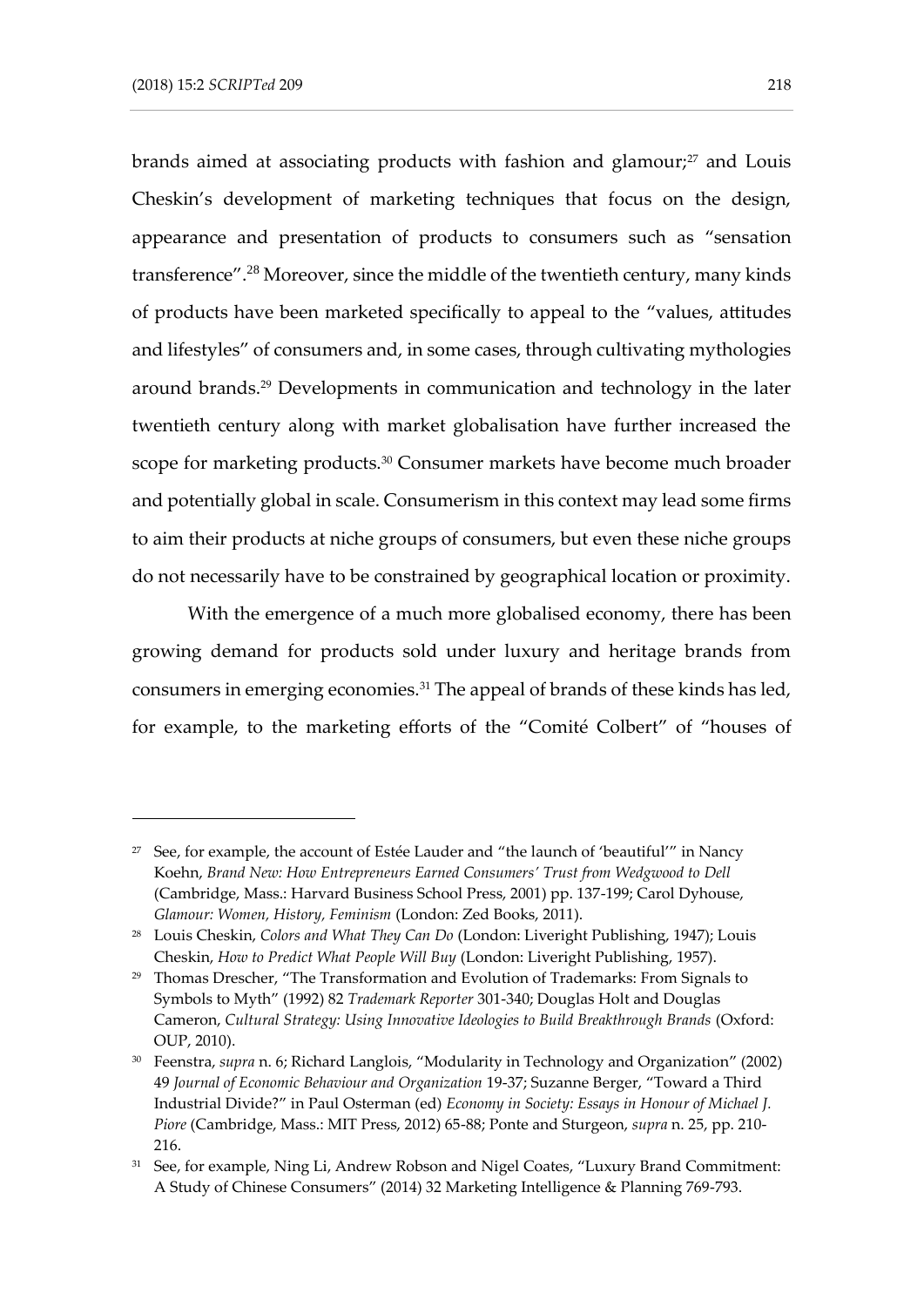brands aimed at associating products with fashion and glamour;<sup>27</sup> and Louis Cheskin's development of marketing techniques that focus on the design, appearance and presentation of products to consumers such as "sensation transference".<sup>28</sup> Moreover, since the middle of the twentieth century, many kinds of products have been marketed specifically to appeal to the "values, attitudes and lifestyles" of consumers and, in some cases, through cultivating mythologies around brands.<sup>29</sup> Developments in communication and technology in the later twentieth century along with market globalisation have further increased the scope for marketing products.<sup>30</sup> Consumer markets have become much broader and potentially global in scale. Consumerism in this context may lead some firms to aim their products at niche groups of consumers, but even these niche groups do not necessarily have to be constrained by geographical location or proximity.

With the emergence of a much more globalised economy, there has been growing demand for products sold under luxury and heritage brands from consumers in emerging economies.<sup>31</sup> The appeal of brands of these kinds has led, for example, to the marketing efforts of the "Comité Colbert" of "houses of

<sup>&</sup>lt;sup>27</sup> See, for example, the account of Estée Lauder and "the launch of 'beautiful'" in Nancy Koehn, *Brand New: How Entrepreneurs Earned Consumers' Trust from Wedgwood to Dell*  (Cambridge, Mass.: Harvard Business School Press, 2001) pp. 137-199; Carol Dyhouse, *Glamour: Women, History, Feminism* (London: Zed Books, 2011).

<sup>28</sup> Louis Cheskin, *Colors and What They Can Do* (London: Liveright Publishing, 1947); Louis Cheskin, *How to Predict What People Will Buy* (London: Liveright Publishing, 1957).

<sup>&</sup>lt;sup>29</sup> Thomas Drescher, "The Transformation and Evolution of Trademarks: From Signals to Symbols to Myth" (1992) 82 *Trademark Reporter* 301-340; Douglas Holt and Douglas Cameron, *Cultural Strategy: Using Innovative Ideologies to Build Breakthrough Brands* (Oxford: OUP, 2010).

<sup>30</sup> Feenstra, *supra* n. 6; Richard Langlois, "Modularity in Technology and Organization" (2002) 49 *Journal of Economic Behaviour and Organization* 19-37; Suzanne Berger, "Toward a Third Industrial Divide?" in Paul Osterman (ed) *Economy in Society: Essays in Honour of Michael J. Piore* (Cambridge, Mass.: MIT Press, 2012) 65-88; Ponte and Sturgeon, *supra* n. 25, pp. 210- 216.

<sup>&</sup>lt;sup>31</sup> See, for example, Ning Li, Andrew Robson and Nigel Coates, "Luxury Brand Commitment: A Study of Chinese Consumers" (2014) 32 Marketing Intelligence & Planning 769-793.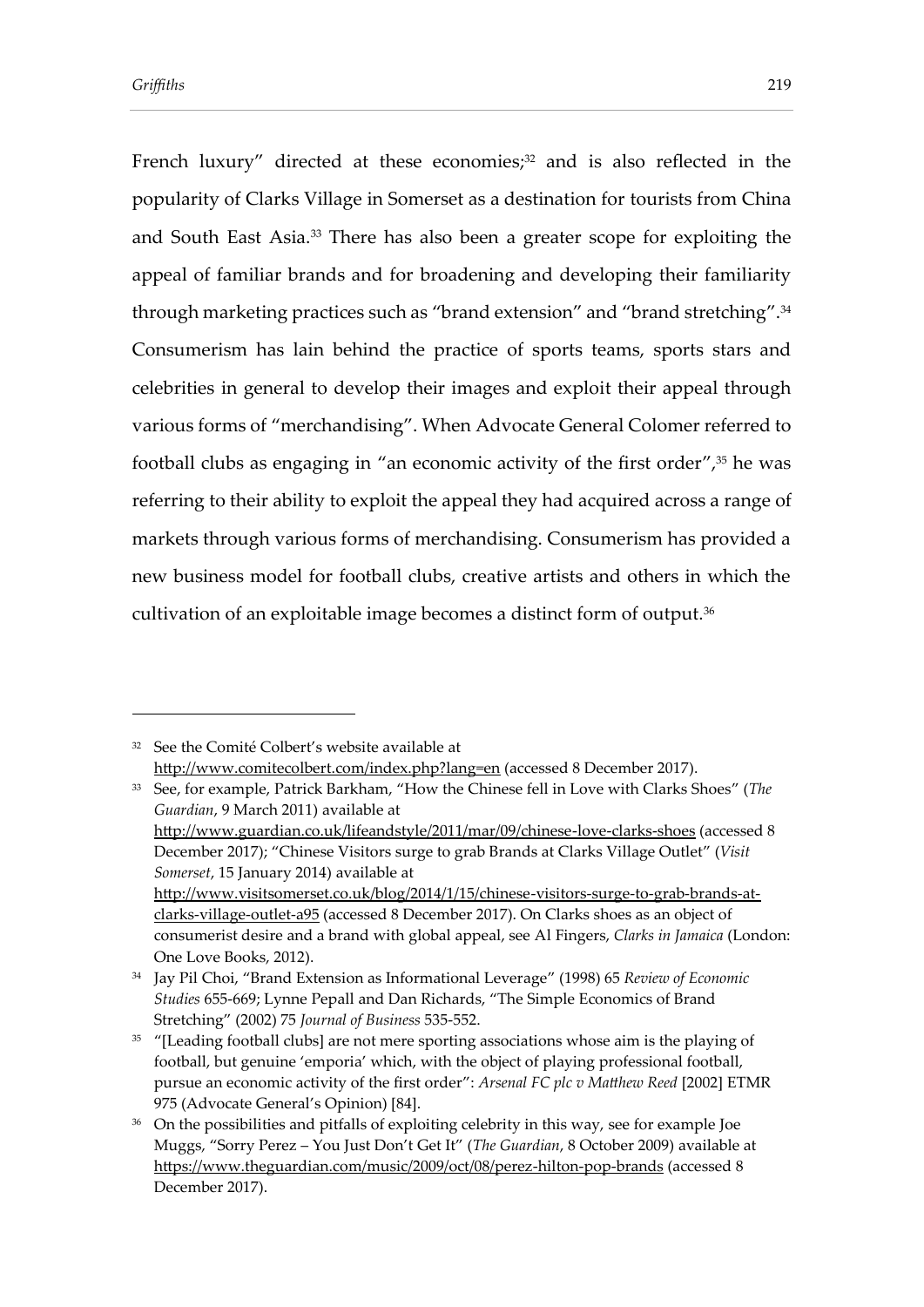French luxury" directed at these economies;<sup>32</sup> and is also reflected in the popularity of Clarks Village in Somerset as a destination for tourists from China and South East Asia.<sup>33</sup> There has also been a greater scope for exploiting the appeal of familiar brands and for broadening and developing their familiarity through marketing practices such as "brand extension" and "brand stretching".<sup>34</sup> Consumerism has lain behind the practice of sports teams, sports stars and celebrities in general to develop their images and exploit their appeal through various forms of "merchandising". When Advocate General Colomer referred to football clubs as engaging in "an economic activity of the first order",<sup>35</sup> he was referring to their ability to exploit the appeal they had acquired across a range of markets through various forms of merchandising. Consumerism has provided a new business model for football clubs, creative artists and others in which the cultivation of an exploitable image becomes a distinct form of output.<sup>36</sup>

<sup>&</sup>lt;sup>32</sup> See the Comité Colbert's website available at <http://www.comitecolbert.com/index.php?lang=en> (accessed 8 December 2017).

<sup>33</sup> See, for example, Patrick Barkham, "How the Chinese fell in Love with Clarks Shoes" (*The Guardian*, 9 March 2011) available at

<http://www.guardian.co.uk/lifeandstyle/2011/mar/09/chinese-love-clarks-shoes> (accessed 8 December 2017); "Chinese Visitors surge to grab Brands at Clarks Village Outlet" (*Visit Somerset*, 15 January 2014) available at

[http://www.visitsomerset.co.uk/blog/2014/1/15/chinese-visitors-surge-to-grab-brands-at](http://www.visitsomerset.co.uk/blog/2014/1/15/chinese-visitors-surge-to-grab-brands-at-clarks-village-outlet-a95)[clarks-village-outlet-a95](http://www.visitsomerset.co.uk/blog/2014/1/15/chinese-visitors-surge-to-grab-brands-at-clarks-village-outlet-a95) (accessed 8 December 2017). On Clarks shoes as an object of consumerist desire and a brand with global appeal, see Al Fingers, *Clarks in Jamaica* (London: One Love Books, 2012).

<sup>34</sup> Jay Pil Choi, "Brand Extension as Informational Leverage" (1998) 65 *Review of Economic Studies* 655-669; Lynne Pepall and Dan Richards, "The Simple Economics of Brand Stretching" (2002) 75 *Journal of Business* 535-552.

<sup>&</sup>lt;sup>35</sup> "[Leading football clubs] are not mere sporting associations whose aim is the playing of football, but genuine 'emporia' which, with the object of playing professional football, pursue an economic activity of the first order": *Arsenal FC plc v Matthew Reed* [2002] ETMR 975 (Advocate General's Opinion) [84].

<sup>&</sup>lt;sup>36</sup> On the possibilities and pitfalls of exploiting celebrity in this way, see for example Joe Muggs, "Sorry Perez – You Just Don't Get It" (*The Guardian*, 8 October 2009) available at <https://www.theguardian.com/music/2009/oct/08/perez-hilton-pop-brands> (accessed 8 December 2017).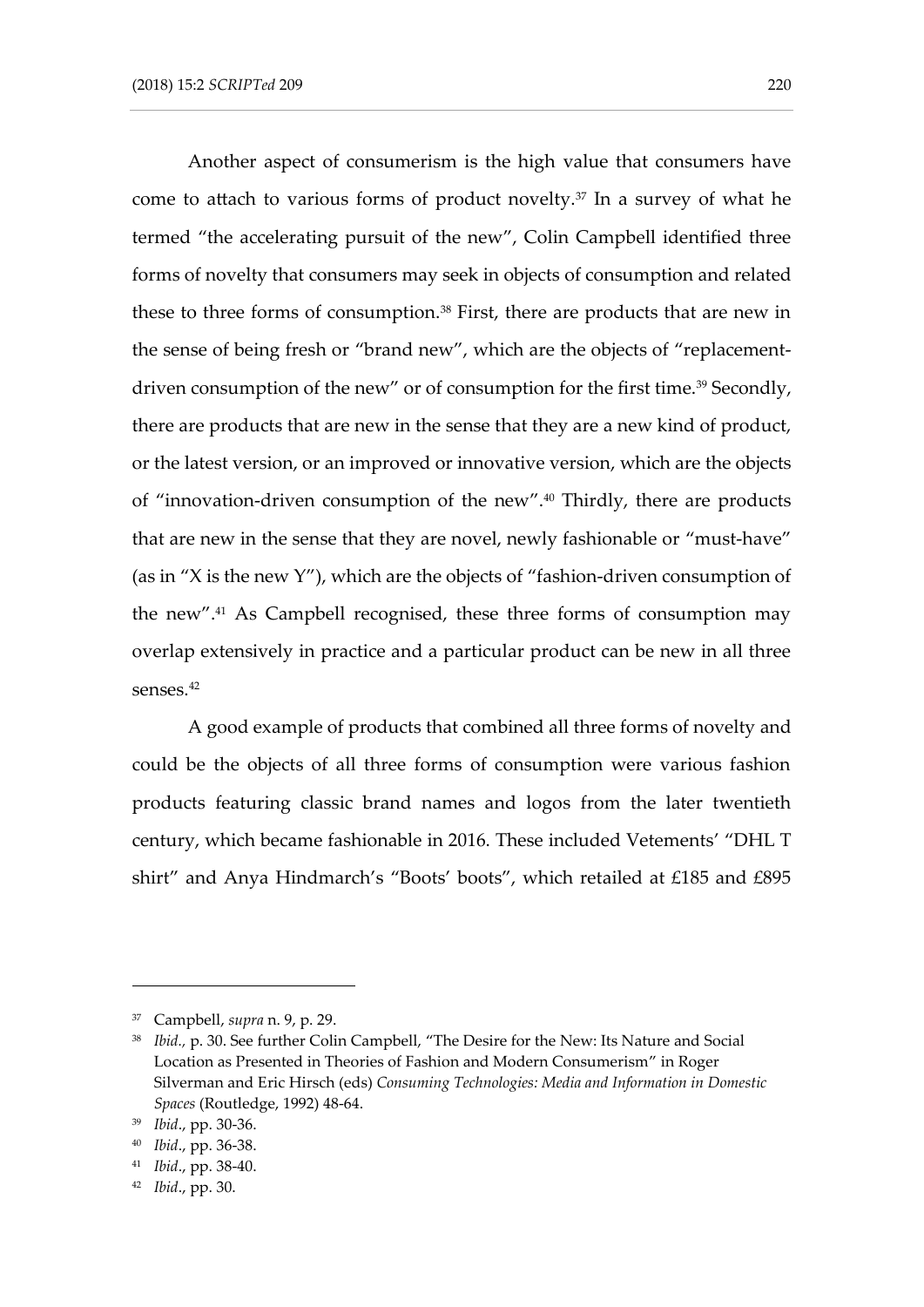Another aspect of consumerism is the high value that consumers have come to attach to various forms of product novelty. $37$  In a survey of what he termed "the accelerating pursuit of the new", Colin Campbell identified three forms of novelty that consumers may seek in objects of consumption and related these to three forms of consumption.<sup>38</sup> First, there are products that are new in the sense of being fresh or "brand new", which are the objects of "replacementdriven consumption of the new" or of consumption for the first time.<sup>39</sup> Secondly, there are products that are new in the sense that they are a new kind of product, or the latest version, or an improved or innovative version, which are the objects of "innovation-driven consumption of the new".<sup>40</sup> Thirdly, there are products that are new in the sense that they are novel, newly fashionable or "must-have" (as in "X is the new Y"), which are the objects of "fashion-driven consumption of the new".<sup>41</sup> As Campbell recognised, these three forms of consumption may overlap extensively in practice and a particular product can be new in all three senses.<sup>42</sup>

A good example of products that combined all three forms of novelty and could be the objects of all three forms of consumption were various fashion products featuring classic brand names and logos from the later twentieth century, which became fashionable in 2016. These included Vetements' "DHL T shirt" and Anya Hindmarch's "Boots' boots", which retailed at £185 and £895

<sup>37</sup> Campbell, *supra* n. 9, p. 29.

<sup>&</sup>lt;sup>38</sup> *Ibid., p.* 30. See further Colin Campbell, "The Desire for the New: Its Nature and Social Location as Presented in Theories of Fashion and Modern Consumerism" in Roger Silverman and Eric Hirsch (eds) *Consuming Technologies: Media and Information in Domestic Spaces* (Routledge, 1992) 48-64.

<sup>39</sup> *Ibid*., pp. 30-36.

<sup>40</sup> *Ibid*., pp. 36-38.

<sup>41</sup> *Ibid*., pp. 38-40.

<sup>42</sup> *Ibid*., pp. 30.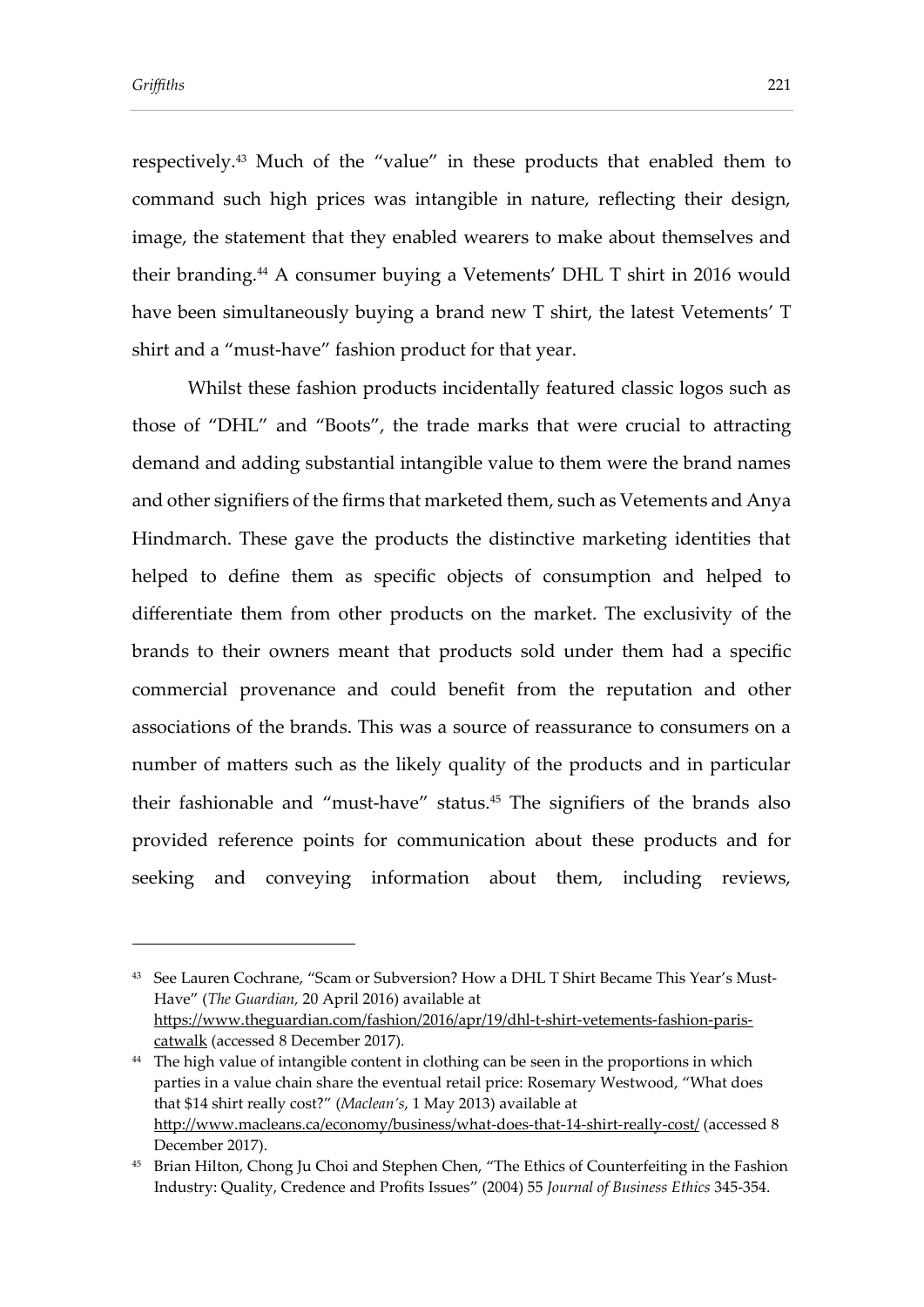respectively.<sup>43</sup> Much of the "value" in these products that enabled them to command such high prices was intangible in nature, reflecting their design, image, the statement that they enabled wearers to make about themselves and their branding.<sup>44</sup> A consumer buying a Vetements' DHL T shirt in 2016 would have been simultaneously buying a brand new T shirt, the latest Vetements' T shirt and a "must-have" fashion product for that year.

Whilst these fashion products incidentally featured classic logos such as those of "DHL" and "Boots", the trade marks that were crucial to attracting demand and adding substantial intangible value to them were the brand names and other signifiers of the firms that marketed them, such as Vetements and Anya Hindmarch. These gave the products the distinctive marketing identities that helped to define them as specific objects of consumption and helped to differentiate them from other products on the market. The exclusivity of the brands to their owners meant that products sold under them had a specific commercial provenance and could benefit from the reputation and other associations of the brands. This was a source of reassurance to consumers on a number of matters such as the likely quality of the products and in particular their fashionable and "must-have" status.<sup>45</sup> The signifiers of the brands also provided reference points for communication about these products and for seeking and conveying information about them, including reviews,

<sup>43</sup> See Lauren Cochrane, "Scam or Subversion? How a DHL T Shirt Became This Year's Must-Have" (*The Guardian,* 20 April 2016) available at [https://www.theguardian.com/fashion/2016/apr/19/dhl-t-shirt-vetements-fashion-paris](https://www.theguardian.com/fashion/2016/apr/19/dhl-t-shirt-vetements-fashion-paris-catwalk)[catwalk](https://www.theguardian.com/fashion/2016/apr/19/dhl-t-shirt-vetements-fashion-paris-catwalk) (accessed 8 December 2017).

<sup>&</sup>lt;sup>44</sup> The high value of intangible content in clothing can be seen in the proportions in which parties in a value chain share the eventual retail price: Rosemary Westwood, "What does that \$14 shirt really cost?" (*Maclean's*, 1 May 2013) available at <http://www.macleans.ca/economy/business/what-does-that-14-shirt-really-cost/> (accessed 8 December 2017).

<sup>&</sup>lt;sup>45</sup> Brian Hilton, Chong Ju Choi and Stephen Chen, "The Ethics of Counterfeiting in the Fashion Industry: Quality, Credence and Profits Issues" (2004) 55 *Journal of Business Ethics* 345-354.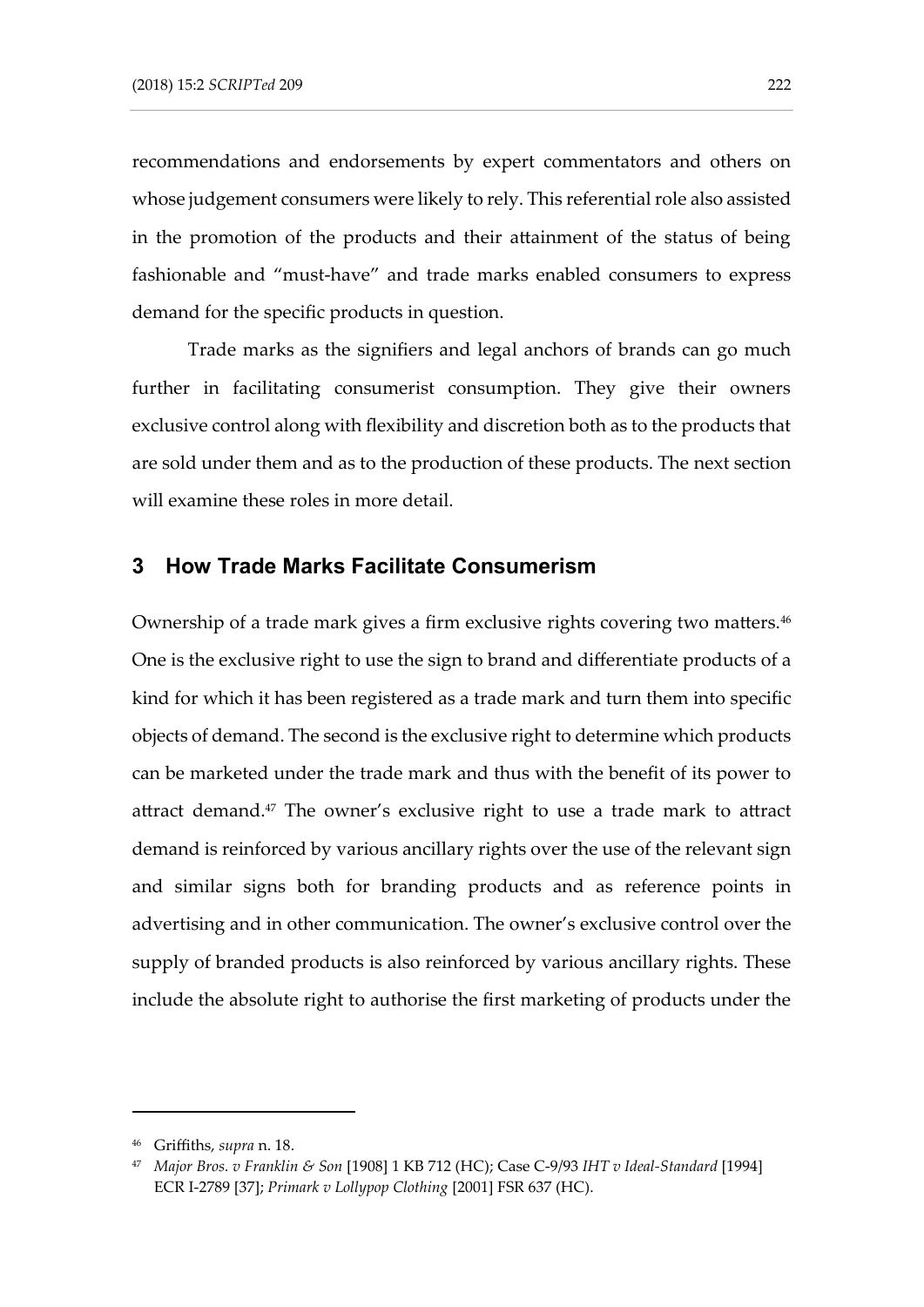recommendations and endorsements by expert commentators and others on whose judgement consumers were likely to rely. This referential role also assisted in the promotion of the products and their attainment of the status of being fashionable and "must-have" and trade marks enabled consumers to express demand for the specific products in question.

Trade marks as the signifiers and legal anchors of brands can go much further in facilitating consumerist consumption. They give their owners exclusive control along with flexibility and discretion both as to the products that are sold under them and as to the production of these products. The next section will examine these roles in more detail.

#### **3 How Trade Marks Facilitate Consumerism**

Ownership of a trade mark gives a firm exclusive rights covering two matters.<sup>46</sup> One is the exclusive right to use the sign to brand and differentiate products of a kind for which it has been registered as a trade mark and turn them into specific objects of demand. The second is the exclusive right to determine which products can be marketed under the trade mark and thus with the benefit of its power to attract demand.<sup>47</sup> The owner's exclusive right to use a trade mark to attract demand is reinforced by various ancillary rights over the use of the relevant sign and similar signs both for branding products and as reference points in advertising and in other communication. The owner's exclusive control over the supply of branded products is also reinforced by various ancillary rights. These include the absolute right to authorise the first marketing of products under the

<sup>46</sup> Griffiths, *supra* n. 18.

<sup>47</sup> *Major Bros. v Franklin & Son* [1908] 1 KB 712 (HC); Case C-9/93 *IHT v Ideal-Standard* [1994] ECR I-2789 [37]; *Primark v Lollypop Clothing* [2001] FSR 637 (HC).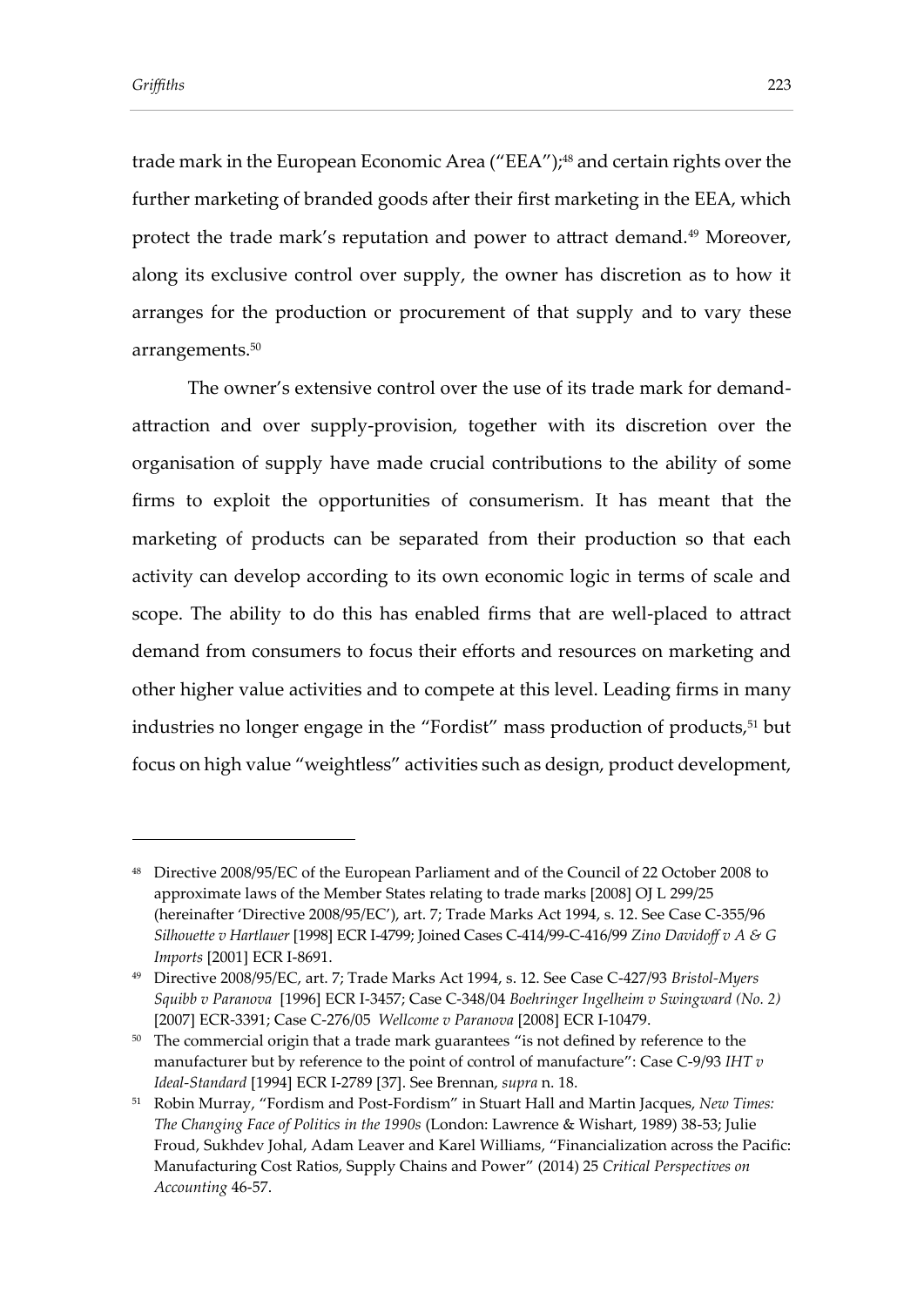trade mark in the European Economic Area ("EEA"); <sup>48</sup> and certain rights over the further marketing of branded goods after their first marketing in the EEA, which protect the trade mark's reputation and power to attract demand.<sup>49</sup> Moreover, along its exclusive control over supply, the owner has discretion as to how it arranges for the production or procurement of that supply and to vary these arrangements. 50

The owner's extensive control over the use of its trade mark for demandattraction and over supply-provision, together with its discretion over the organisation of supply have made crucial contributions to the ability of some firms to exploit the opportunities of consumerism. It has meant that the marketing of products can be separated from their production so that each activity can develop according to its own economic logic in terms of scale and scope. The ability to do this has enabled firms that are well-placed to attract demand from consumers to focus their efforts and resources on marketing and other higher value activities and to compete at this level. Leading firms in many industries no longer engage in the "Fordist" mass production of products,<sup>51</sup> but focus on high value "weightless" activities such as design, product development,

<sup>48</sup> Directive 2008/95/EC of the European Parliament and of the Council of 22 October 2008 to approximate laws of the Member States relating to trade marks [2008] OJ L 299/25 (hereinafter 'Directive 2008/95/EC'), art. 7; Trade Marks Act 1994, s. 12. See Case C-355/96 *Silhouette v Hartlauer* [1998] ECR I-4799; Joined Cases C-414/99-C-416/99 *Zino Davidoff v A & G Imports* [2001] ECR I-8691.

<sup>49</sup> Directive 2008/95/EC, art. 7; Trade Marks Act 1994, s. 12. See Case C-427/93 *Bristol-Myers Squibb v Paranova* [1996] ECR I-3457; Case C-348/04 *Boehringer Ingelheim v Swingward (No. 2)* [2007] ECR-3391; Case C-276/05 *Wellcome v Paranova* [2008] ECR I-10479.

<sup>&</sup>lt;sup>50</sup> The commercial origin that a trade mark guarantees "is not defined by reference to the manufacturer but by reference to the point of control of manufacture": Case C-9/93 *IHT v Ideal-Standard* [1994] ECR I-2789 [37]. See Brennan, *supra* n. 18.

<sup>51</sup> Robin Murray, "Fordism and Post-Fordism" in Stuart Hall and Martin Jacques, *New Times: The Changing Face of Politics in the 1990s* (London: Lawrence & Wishart, 1989) 38-53; Julie Froud, Sukhdev Johal, Adam Leaver and Karel Williams, "Financialization across the Pacific: Manufacturing Cost Ratios, Supply Chains and Power" (2014) 25 *Critical Perspectives on Accounting* 46-57.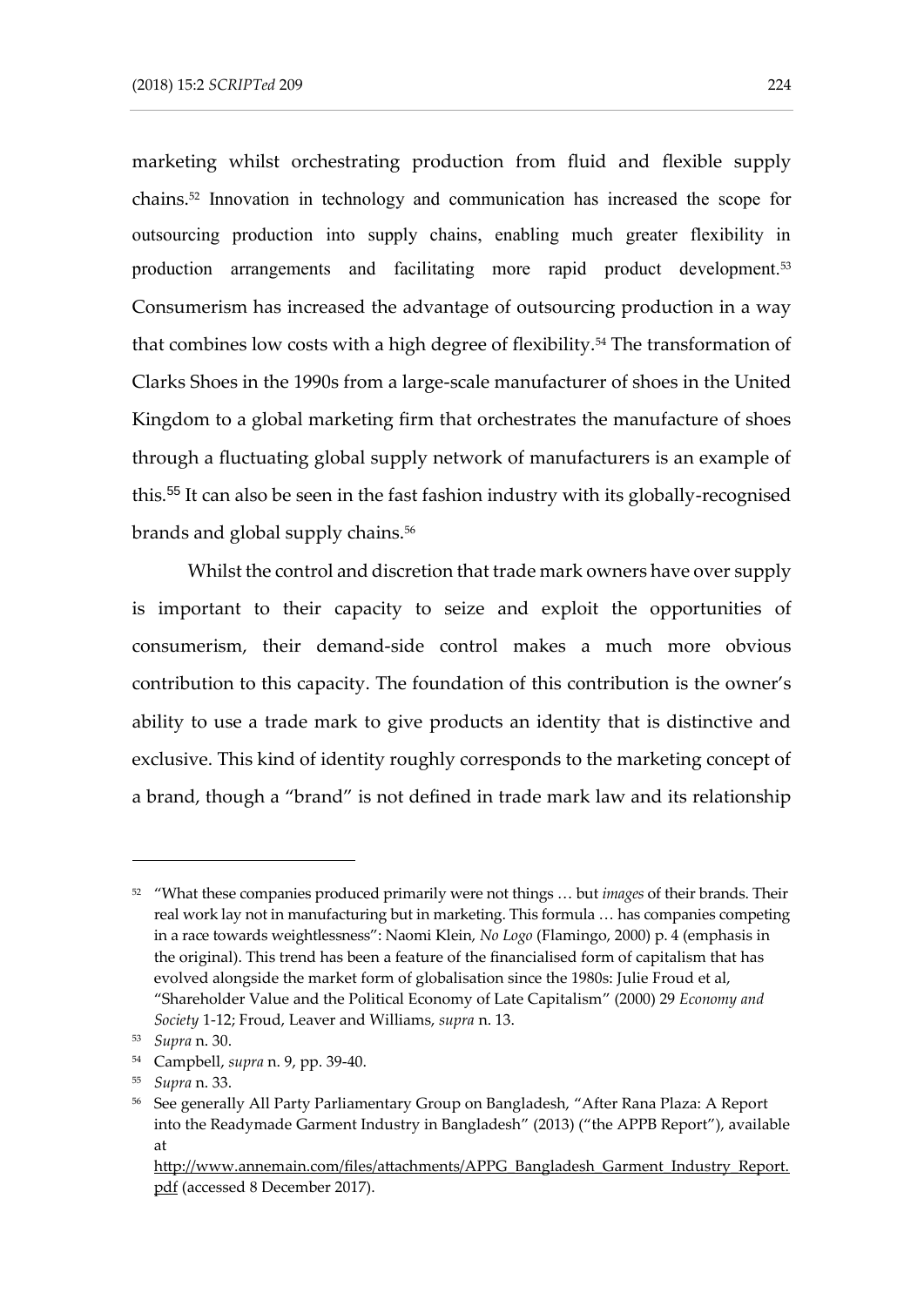marketing whilst orchestrating production from fluid and flexible supply chains.<sup>52</sup> Innovation in technology and communication has increased the scope for outsourcing production into supply chains, enabling much greater flexibility in production arrangements and facilitating more rapid product development.<sup>53</sup> Consumerism has increased the advantage of outsourcing production in a way that combines low costs with a high degree of flexibility.<sup>54</sup> The transformation of Clarks Shoes in the 1990s from a large-scale manufacturer of shoes in the United Kingdom to a global marketing firm that orchestrates the manufacture of shoes through a fluctuating global supply network of manufacturers is an example of this.<sup>55</sup> It can also be seen in the fast fashion industry with its globally-recognised brands and global supply chains.<sup>56</sup>

Whilst the control and discretion that trade mark owners have over supply is important to their capacity to seize and exploit the opportunities of consumerism, their demand-side control makes a much more obvious contribution to this capacity. The foundation of this contribution is the owner's ability to use a trade mark to give products an identity that is distinctive and exclusive. This kind of identity roughly corresponds to the marketing concept of a brand, though a "brand" is not defined in trade mark law and its relationship

<sup>52</sup> "What these companies produced primarily were not things … but *images* of their brands. Their real work lay not in manufacturing but in marketing. This formula … has companies competing in a race towards weightlessness": Naomi Klein, *No Logo* (Flamingo, 2000) p. 4 (emphasis in the original). This trend has been a feature of the financialised form of capitalism that has evolved alongside the market form of globalisation since the 1980s: Julie Froud et al, "Shareholder Value and the Political Economy of Late Capitalism" (2000) 29 *Economy and Society* 1-12; Froud, Leaver and Williams, *supra* n. 13.

<sup>53</sup> *Supra* n. 30.

<sup>54</sup> Campbell, *supra* n. 9, pp. 39-40.

<sup>55</sup> *Supra* n. 33.

<sup>&</sup>lt;sup>56</sup> See generally All Party Parliamentary Group on Bangladesh, "After Rana Plaza: A Report into the Readymade Garment Industry in Bangladesh" (2013) ("the APPB Report"), available at

[http://www.annemain.com/files/attachments/APPG\\_Bangladesh\\_Garment\\_Industry\\_Report.](http://www.annemain.com/files/attachments/APPG_Bangladesh_Garment_Industry_Report.pdf) [pdf](http://www.annemain.com/files/attachments/APPG_Bangladesh_Garment_Industry_Report.pdf) (accessed 8 December 2017).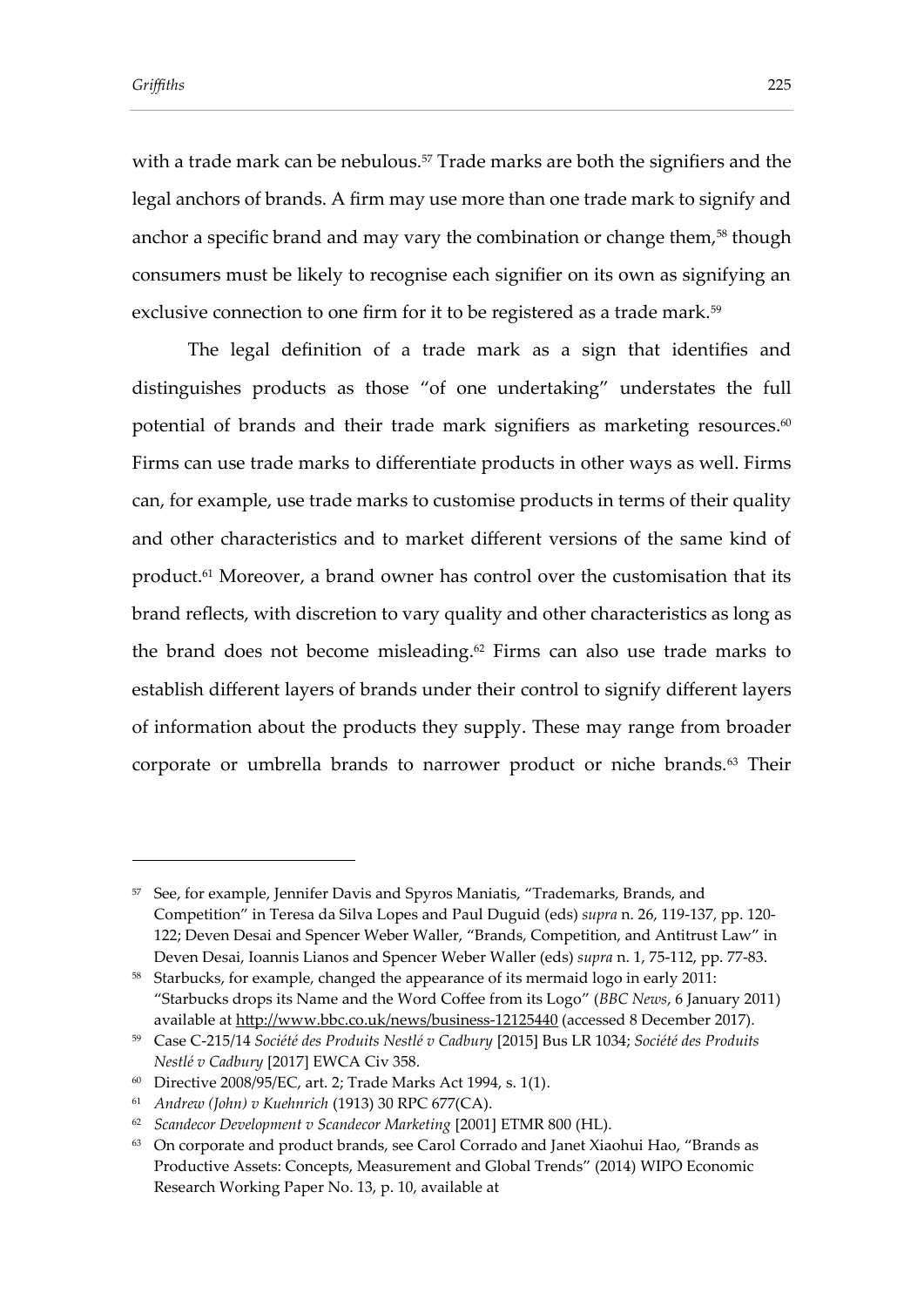with a trade mark can be nebulous.<sup>57</sup> Trade marks are both the signifiers and the legal anchors of brands. A firm may use more than one trade mark to signify and anchor a specific brand and may vary the combination or change them,<sup>58</sup> though consumers must be likely to recognise each signifier on its own as signifying an exclusive connection to one firm for it to be registered as a trade mark.<sup>59</sup>

The legal definition of a trade mark as a sign that identifies and distinguishes products as those "of one undertaking" understates the full potential of brands and their trade mark signifiers as marketing resources. $^{60}$ Firms can use trade marks to differentiate products in other ways as well. Firms can, for example, use trade marks to customise products in terms of their quality and other characteristics and to market different versions of the same kind of product. <sup>61</sup> Moreover, a brand owner has control over the customisation that its brand reflects, with discretion to vary quality and other characteristics as long as the brand does not become misleading. <sup>62</sup> Firms can also use trade marks to establish different layers of brands under their control to signify different layers of information about the products they supply. These may range from broader corporate or umbrella brands to narrower product or niche brands.<sup>63</sup> Their

<sup>57</sup> See, for example, Jennifer Davis and Spyros Maniatis, "Trademarks, Brands, and Competition" in Teresa da Silva Lopes and Paul Duguid (eds) *supra* n. 26, 119-137, pp. 120- 122; Deven Desai and Spencer Weber Waller, "Brands, Competition, and Antitrust Law" in Deven Desai, Ioannis Lianos and Spencer Weber Waller (eds) *supra* n. 1, 75-112, pp. 77-83.

<sup>58</sup> Starbucks, for example, changed the appearance of its mermaid logo in early 2011: "Starbucks drops its Name and the Word Coffee from its Logo" (*BBC News*, 6 January 2011) available at<http://www.bbc.co.uk/news/business-12125440> (accessed 8 December 2017).

<sup>59</sup> Case C-215/14 *Société des Produits Nestlé v Cadbury* [2015] Bus LR 1034; *Société des Produits Nestlé v Cadbury* [2017] EWCA Civ 358.

<sup>60</sup> Directive 2008/95/EC, art. 2; Trade Marks Act 1994, s. 1(1).

<sup>61</sup> *Andrew (John) v Kuehnrich* (1913) 30 RPC 677(CA).

<sup>62</sup> *Scandecor Development v Scandecor Marketing* [2001] ETMR 800 (HL).

<sup>&</sup>lt;sup>63</sup> On corporate and product brands, see Carol Corrado and Janet Xiaohui Hao, "Brands as Productive Assets: Concepts, Measurement and Global Trends" (2014) WIPO Economic Research Working Paper No. 13, p. 10, available at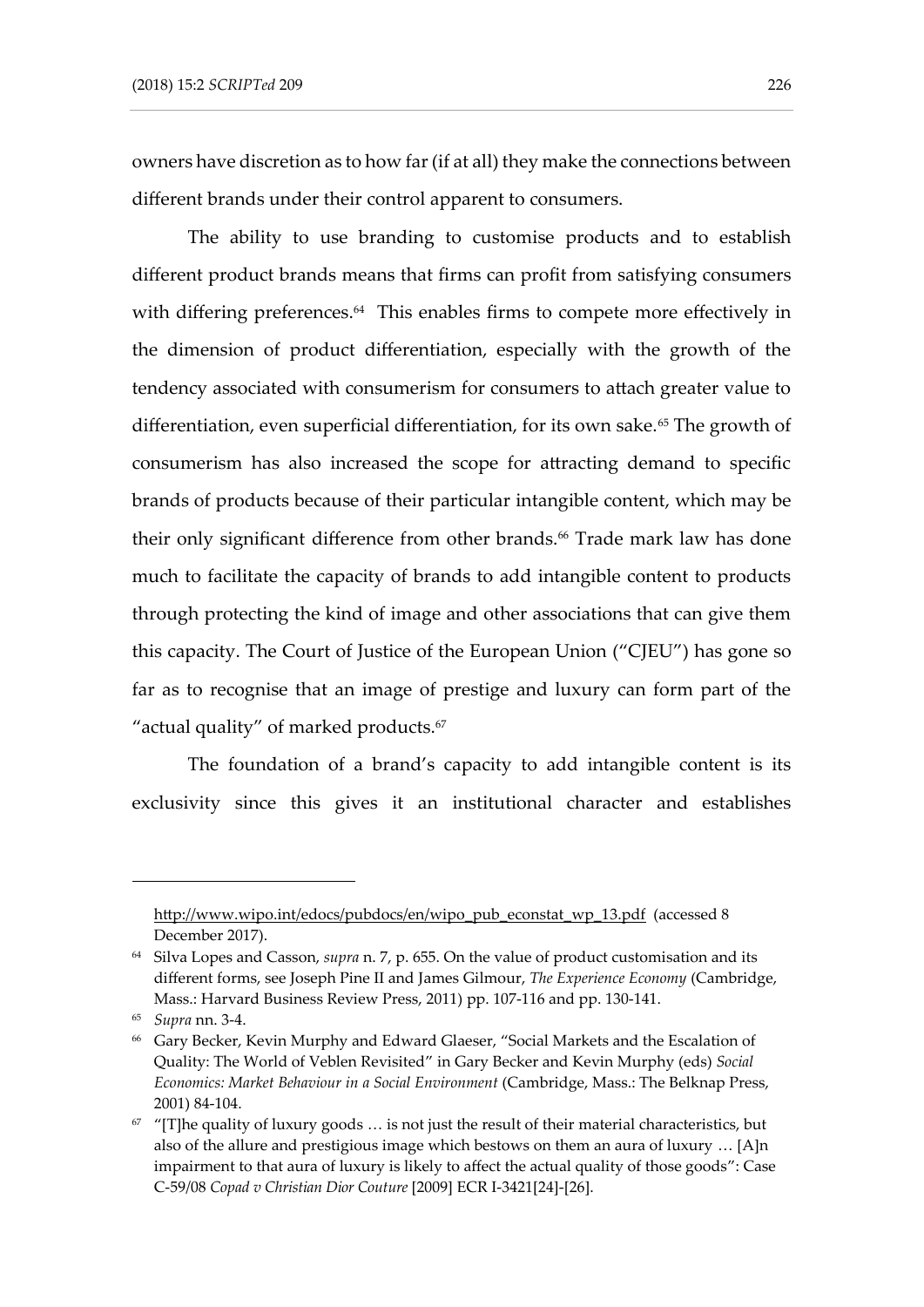owners have discretion as to how far (if at all) they make the connections between different brands under their control apparent to consumers.

The ability to use branding to customise products and to establish different product brands means that firms can profit from satisfying consumers with differing preferences. 64 This enables firms to compete more effectively in the dimension of product differentiation, especially with the growth of the tendency associated with consumerism for consumers to attach greater value to differentiation, even superficial differentiation, for its own sake.<sup>65</sup> The growth of consumerism has also increased the scope for attracting demand to specific brands of products because of their particular intangible content, which may be their only significant difference from other brands. <sup>66</sup> Trade mark law has done much to facilitate the capacity of brands to add intangible content to products through protecting the kind of image and other associations that can give them this capacity. The Court of Justice of the European Union ("CJEU") has gone so far as to recognise that an image of prestige and luxury can form part of the "actual quality" of marked products.<sup>67</sup>

The foundation of a brand's capacity to add intangible content is its exclusivity since this gives it an institutional character and establishes

[http://www.wipo.int/edocs/pubdocs/en/wipo\\_pub\\_econstat\\_wp\\_13.pdf](http://www.wipo.int/edocs/pubdocs/en/wipo_pub_econstat_wp_13.pdf) (accessed 8 December 2017).

<sup>64</sup> Silva Lopes and Casson, *supra* n. 7, p. 655. On the value of product customisation and its different forms, see Joseph Pine II and James Gilmour, *The Experience Economy* (Cambridge, Mass.: Harvard Business Review Press, 2011) pp. 107-116 and pp. 130-141.

<sup>65</sup> *Supra* nn. 3-4.

<sup>66</sup> Gary Becker, Kevin Murphy and Edward Glaeser, "Social Markets and the Escalation of Quality: The World of Veblen Revisited" in Gary Becker and Kevin Murphy (eds) *Social Economics: Market Behaviour in a Social Environment* (Cambridge, Mass.: The Belknap Press, 2001) 84-104.

 $67$  "[T]he quality of luxury goods ... is not just the result of their material characteristics, but also of the allure and prestigious image which bestows on them an aura of luxury … [A]n impairment to that aura of luxury is likely to affect the actual quality of those goods": Case C-59/08 *Copad v Christian Dior Couture* [2009] ECR I-3421[24]-[26].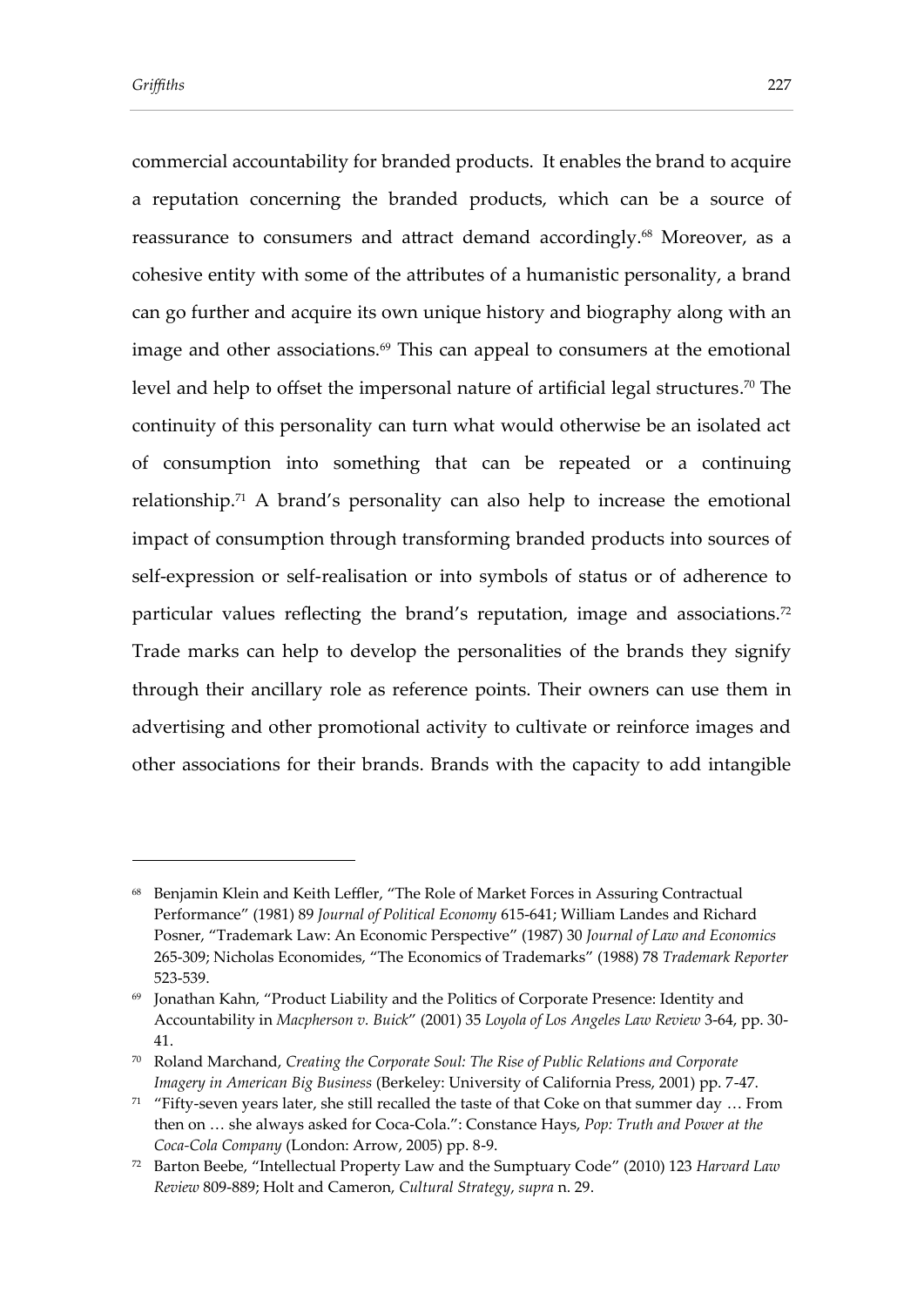commercial accountability for branded products. It enables the brand to acquire a reputation concerning the branded products, which can be a source of reassurance to consumers and attract demand accordingly. <sup>68</sup> Moreover, as a cohesive entity with some of the attributes of a humanistic personality, a brand can go further and acquire its own unique history and biography along with an image and other associations.<sup>69</sup> This can appeal to consumers at the emotional level and help to offset the impersonal nature of artificial legal structures. <sup>70</sup> The continuity of this personality can turn what would otherwise be an isolated act of consumption into something that can be repeated or a continuing relationship.<sup>71</sup> A brand's personality can also help to increase the emotional impact of consumption through transforming branded products into sources of self-expression or self-realisation or into symbols of status or of adherence to particular values reflecting the brand's reputation, image and associations. 72 Trade marks can help to develop the personalities of the brands they signify through their ancillary role as reference points. Their owners can use them in advertising and other promotional activity to cultivate or reinforce images and other associations for their brands. Brands with the capacity to add intangible

<sup>68</sup> Benjamin Klein and Keith Leffler, "The Role of Market Forces in Assuring Contractual Performance" (1981) 89 *Journal of Political Economy* 615-641; William Landes and Richard Posner, "Trademark Law: An Economic Perspective" (1987) 30 *Journal of Law and Economics* 265-309; Nicholas Economides, "The Economics of Trademarks" (1988) 78 *Trademark Reporter*  523-539.

<sup>69</sup> Jonathan Kahn, "Product Liability and the Politics of Corporate Presence: Identity and Accountability in *Macpherson v. Buick*" (2001) 35 *Loyola of Los Angeles Law Review* 3-64, pp. 30- 41.

<sup>70</sup> Roland Marchand, *Creating the Corporate Soul: The Rise of Public Relations and Corporate Imagery in American Big Business* (Berkeley: University of California Press, 2001) pp. 7-47.

 $71$  "Fifty-seven years later, she still recalled the taste of that Coke on that summer day ... From then on … she always asked for Coca-Cola.": Constance Hays, *Pop: Truth and Power at the Coca-Cola Company* (London: Arrow, 2005) pp. 8-9.

<sup>72</sup> Barton Beebe, "Intellectual Property Law and the Sumptuary Code" (2010) 123 *Harvard Law Review* 809-889; Holt and Cameron, *Cultural Strategy*, *supra* n. 29.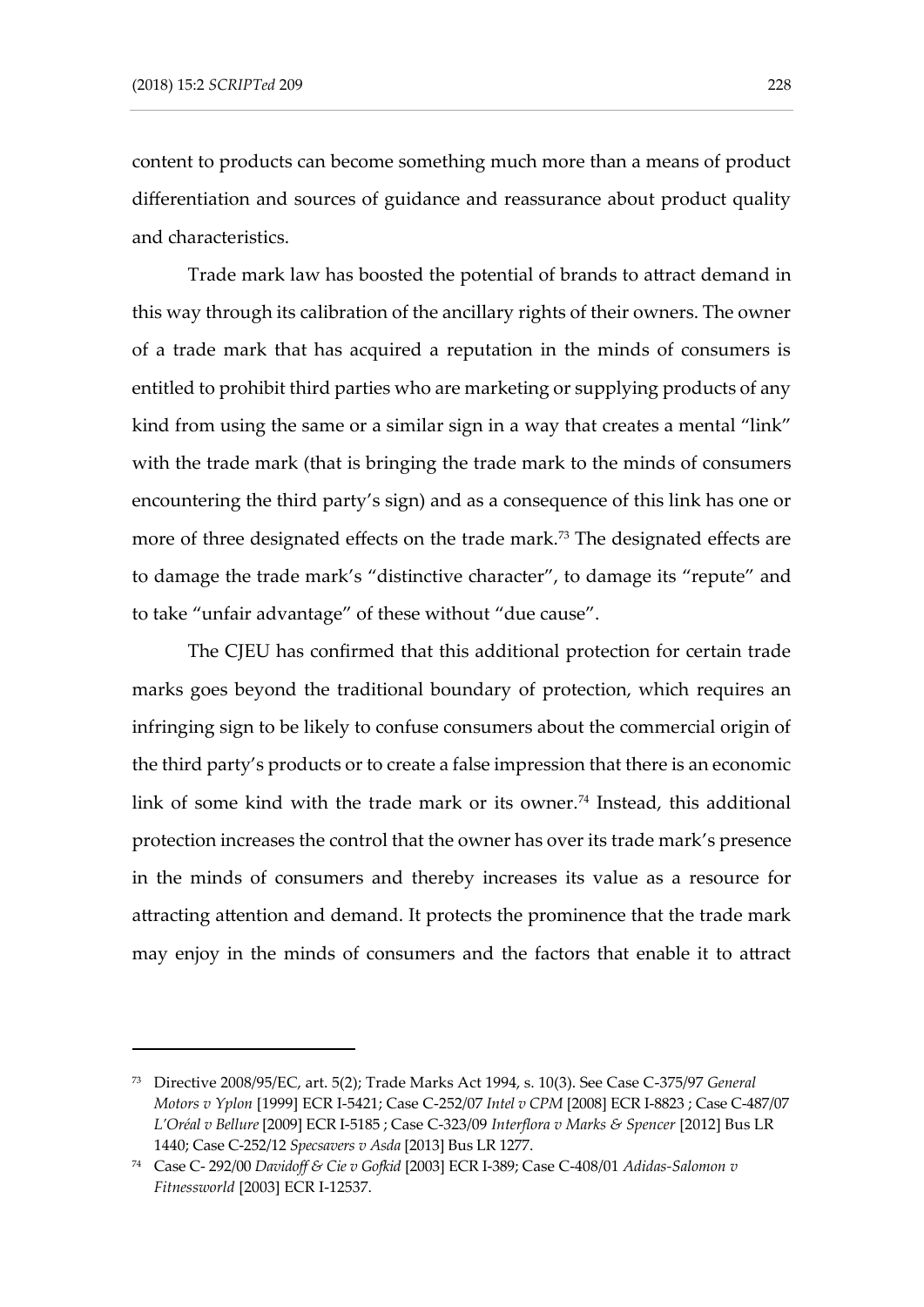content to products can become something much more than a means of product differentiation and sources of guidance and reassurance about product quality and characteristics.

Trade mark law has boosted the potential of brands to attract demand in this way through its calibration of the ancillary rights of their owners. The owner of a trade mark that has acquired a reputation in the minds of consumers is entitled to prohibit third parties who are marketing or supplying products of any kind from using the same or a similar sign in a way that creates a mental "link" with the trade mark (that is bringing the trade mark to the minds of consumers encountering the third party's sign) and as a consequence of this link has one or more of three designated effects on the trade mark.<sup>73</sup> The designated effects are to damage the trade mark's "distinctive character", to damage its "repute" and to take "unfair advantage" of these without "due cause".

The CJEU has confirmed that this additional protection for certain trade marks goes beyond the traditional boundary of protection, which requires an infringing sign to be likely to confuse consumers about the commercial origin of the third party's products or to create a false impression that there is an economic link of some kind with the trade mark or its owner.<sup>74</sup> Instead, this additional protection increases the control that the owner has over its trade mark's presence in the minds of consumers and thereby increases its value as a resource for attracting attention and demand. It protects the prominence that the trade mark may enjoy in the minds of consumers and the factors that enable it to attract

<sup>73</sup> Directive 2008/95/EC, art. 5(2); Trade Marks Act 1994, s. 10(3). See Case C-375/97 *General Motors v Yplon* [1999] ECR I-5421; Case C-252/07 *Intel v CPM* [2008] ECR I-8823 ; Case C-487/07 *L'Oréal v Bellure* [2009] ECR I-5185 ; Case C-323/09 *Interflora v Marks & Spencer* [2012] Bus LR 1440; Case C-252/12 *Specsavers v Asda* [2013] Bus LR 1277.

<sup>74</sup> Case C- 292/00 *Davidoff & Cie v Gofkid* [2003] ECR I-389; Case C-408/01 *Adidas-Salomon v Fitnessworld* [2003] ECR I-12537.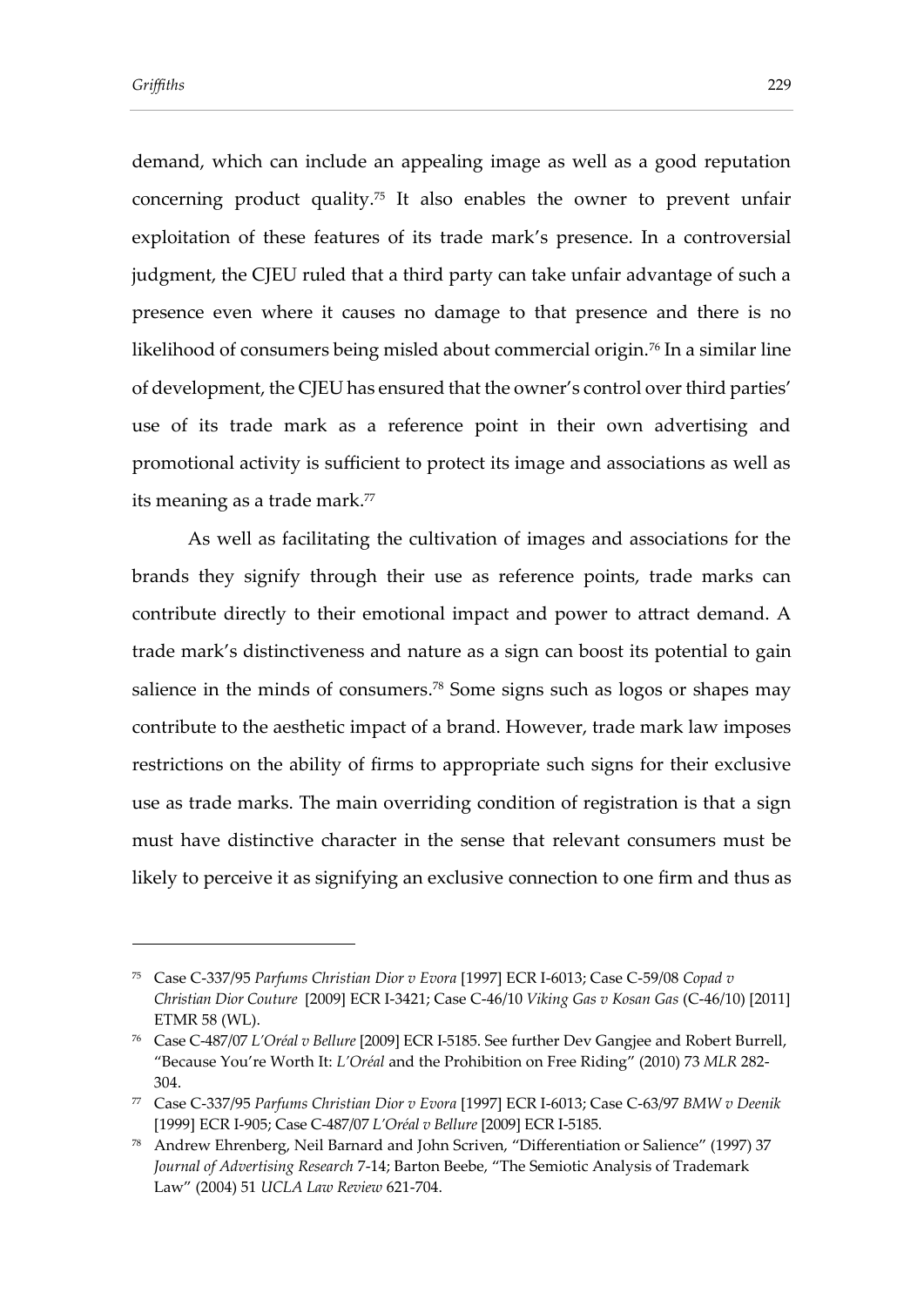demand, which can include an appealing image as well as a good reputation concerning product quality.<sup>75</sup> It also enables the owner to prevent unfair exploitation of these features of its trade mark's presence. In a controversial judgment, the CJEU ruled that a third party can take unfair advantage of such a presence even where it causes no damage to that presence and there is no likelihood of consumers being misled about commercial origin.<sup>76</sup> In a similar line of development, the CJEU has ensured that the owner's control over third parties' use of its trade mark as a reference point in their own advertising and promotional activity is sufficient to protect its image and associations as well as its meaning as a trade mark.<sup>77</sup>

As well as facilitating the cultivation of images and associations for the brands they signify through their use as reference points, trade marks can contribute directly to their emotional impact and power to attract demand. A trade mark's distinctiveness and nature as a sign can boost its potential to gain salience in the minds of consumers. <sup>78</sup> Some signs such as logos or shapes may contribute to the aesthetic impact of a brand. However, trade mark law imposes restrictions on the ability of firms to appropriate such signs for their exclusive use as trade marks. The main overriding condition of registration is that a sign must have distinctive character in the sense that relevant consumers must be likely to perceive it as signifying an exclusive connection to one firm and thus as

<sup>75</sup> Case C-337/95 *Parfums Christian Dior v Evora* [1997] ECR I-6013; Case C-59/08 *Copad v Christian Dior Couture* [2009] ECR I-3421; Case C-46/10 *Viking Gas v Kosan Gas* (C-46/10) [2011] ETMR 58 (WL).

<sup>76</sup> Case C-487/07 *L'Oréal v Bellure* [2009] ECR I-5185. See further Dev Gangjee and Robert Burrell, "Because You're Worth It: *L'Oréal* and the Prohibition on Free Riding" (2010) 73 *MLR* 282- 304.

<sup>77</sup> Case C-337/95 *Parfums Christian Dior v Evora* [1997] ECR I-6013; Case C-63/97 *BMW v Deenik* [1999] ECR I-905; Case C-487/07 *L'Oréal v Bellure* [2009] ECR I-5185.

<sup>78</sup> Andrew Ehrenberg, Neil Barnard and John Scriven, "Differentiation or Salience" (1997) 37 *Journal of Advertising Research* 7-14; Barton Beebe, "The Semiotic Analysis of Trademark Law" (2004) 51 *UCLA Law Review* 621-704.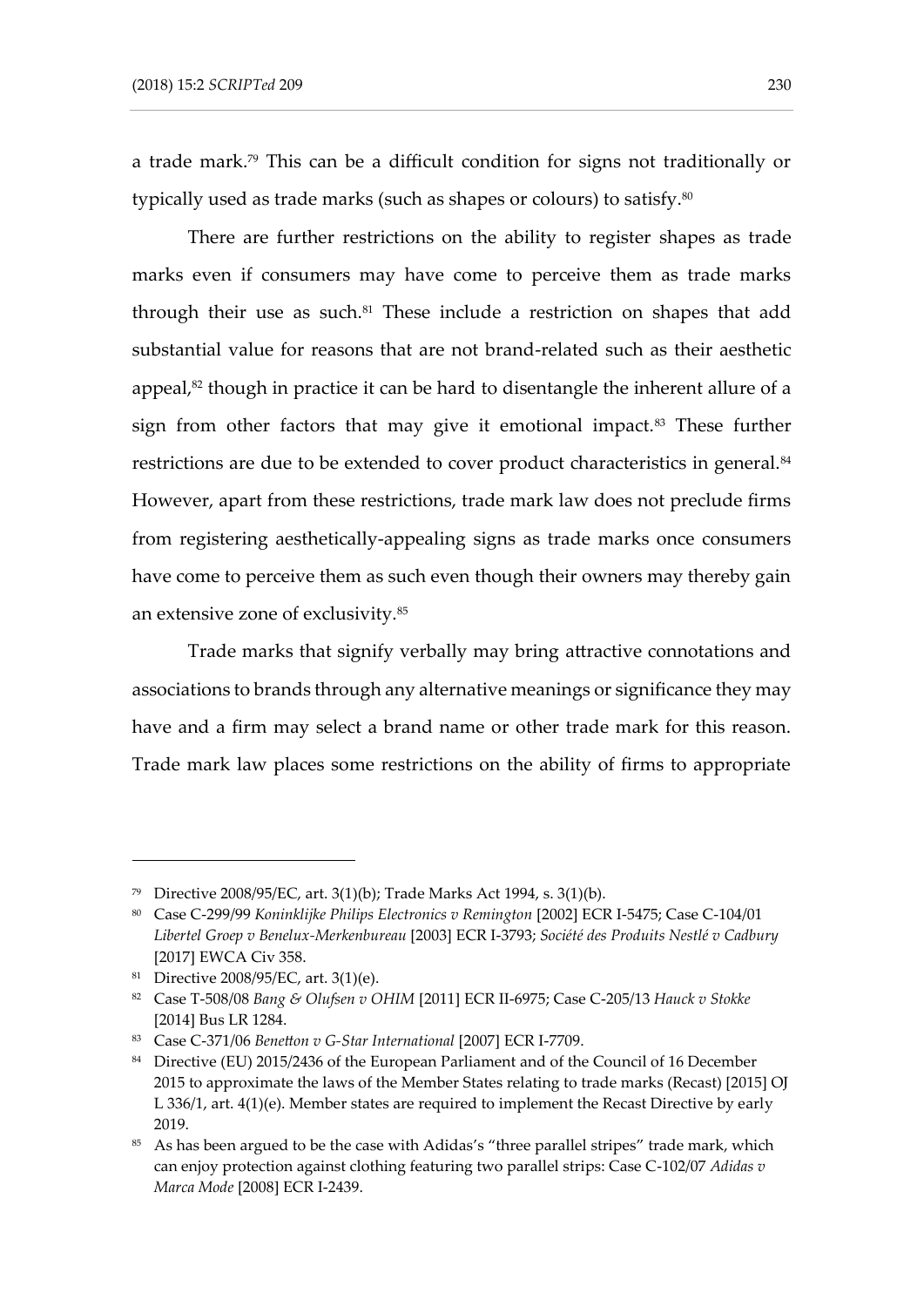a trade mark.<sup>79</sup> This can be a difficult condition for signs not traditionally or typically used as trade marks (such as shapes or colours) to satisfy. 80

There are further restrictions on the ability to register shapes as trade marks even if consumers may have come to perceive them as trade marks through their use as such. <sup>81</sup> These include a restriction on shapes that add substantial value for reasons that are not brand-related such as their aesthetic appeal, <sup>82</sup> though in practice it can be hard to disentangle the inherent allure of a sign from other factors that may give it emotional impact.<sup>83</sup> These further restrictions are due to be extended to cover product characteristics in general.<sup>84</sup> However, apart from these restrictions, trade mark law does not preclude firms from registering aesthetically-appealing signs as trade marks once consumers have come to perceive them as such even though their owners may thereby gain an extensive zone of exclusivity.<sup>85</sup>

Trade marks that signify verbally may bring attractive connotations and associations to brands through any alternative meanings or significance they may have and a firm may select a brand name or other trade mark for this reason. Trade mark law places some restrictions on the ability of firms to appropriate

<sup>79</sup> Directive 2008/95/EC, art. 3(1)(b); Trade Marks Act 1994, s. 3(1)(b).

<sup>80</sup> Case C-299/99 *Koninklijke Philips Electronics v Remington* [2002] ECR I-5475; Case C-104/01 *Libertel Groep v Benelux-Merkenbureau* [2003] ECR I-3793; *Société des Produits Nestlé v Cadbury*  [2017] EWCA Civ 358.

<sup>81</sup> Directive 2008/95/EC, art. 3(1)(e).

<sup>82</sup> Case T-508/08 *Bang & Olufsen v OHIM* [2011] ECR II-6975; Case C-205/13 *Hauck v Stokke*  [2014] Bus LR 1284.

<sup>83</sup> Case C-371/06 *Benetton v G-Star International* [2007] ECR I-7709.

<sup>&</sup>lt;sup>84</sup> Directive (EU) 2015/2436 of the European Parliament and of the Council of 16 December 2015 to approximate the laws of the Member States relating to trade marks (Recast) [2015] OJ L 336/1, art. 4(1)(e). Member states are required to implement the Recast Directive by early 2019.

<sup>&</sup>lt;sup>85</sup> As has been argued to be the case with Adidas's "three parallel stripes" trade mark, which can enjoy protection against clothing featuring two parallel strips: Case C-102/07 *Adidas v Marca Mode* [2008] ECR I-2439.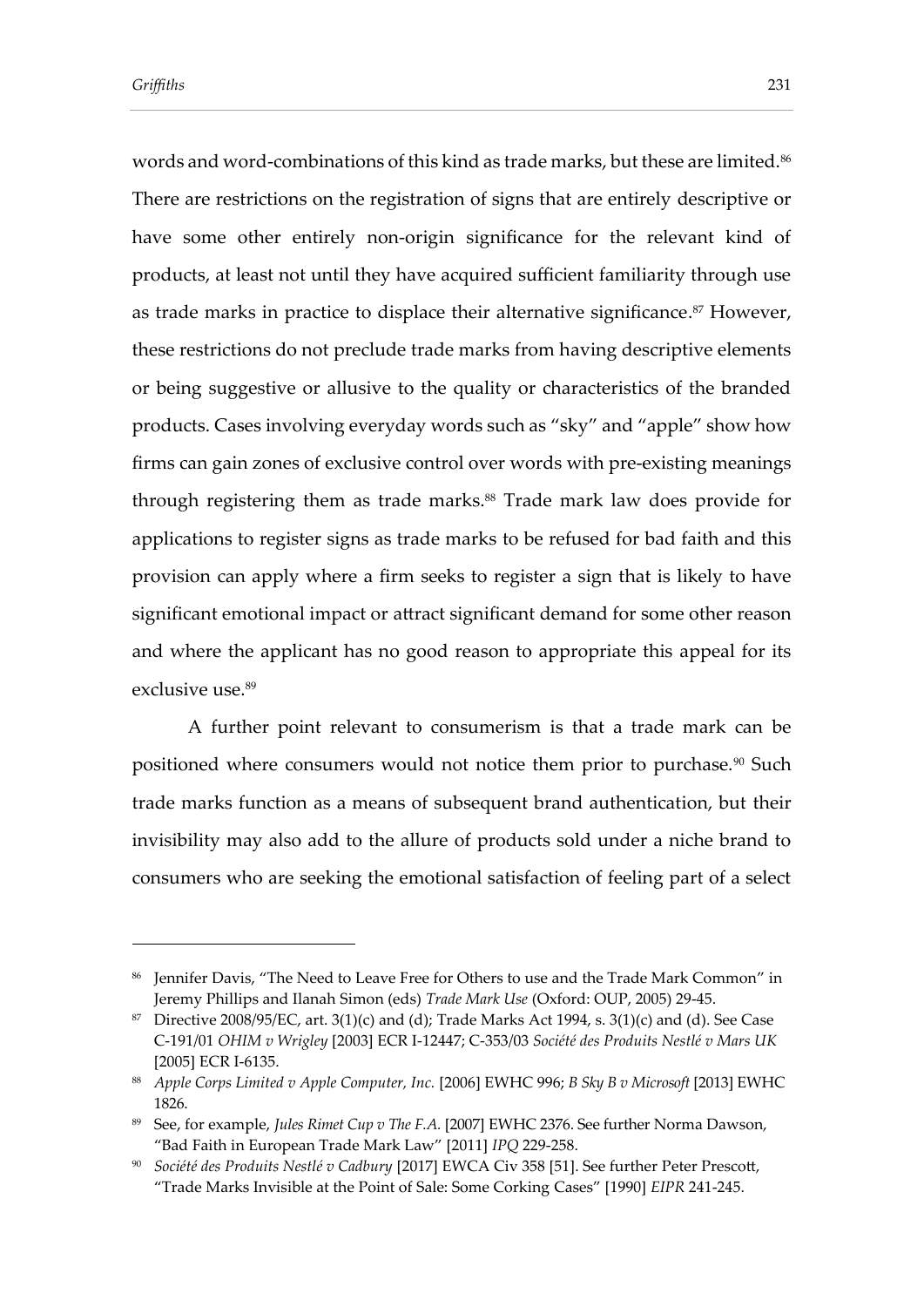words and word-combinations of this kind as trade marks, but these are limited.<sup>86</sup> There are restrictions on the registration of signs that are entirely descriptive or have some other entirely non-origin significance for the relevant kind of products, at least not until they have acquired sufficient familiarity through use as trade marks in practice to displace their alternative significance. <sup>87</sup> However, these restrictions do not preclude trade marks from having descriptive elements or being suggestive or allusive to the quality or characteristics of the branded products. Cases involving everyday words such as "sky" and "apple" show how firms can gain zones of exclusive control over words with pre-existing meanings through registering them as trade marks.<sup>88</sup> Trade mark law does provide for applications to register signs as trade marks to be refused for bad faith and this provision can apply where a firm seeks to register a sign that is likely to have significant emotional impact or attract significant demand for some other reason and where the applicant has no good reason to appropriate this appeal for its exclusive use. 89

A further point relevant to consumerism is that a trade mark can be positioned where consumers would not notice them prior to purchase.<sup>90</sup> Such trade marks function as a means of subsequent brand authentication, but their invisibility may also add to the allure of products sold under a niche brand to consumers who are seeking the emotional satisfaction of feeling part of a select

<sup>86</sup> Jennifer Davis, "The Need to Leave Free for Others to use and the Trade Mark Common" in Jeremy Phillips and Ilanah Simon (eds) *Trade Mark Use* (Oxford: OUP, 2005) 29-45.

<sup>&</sup>lt;sup>87</sup> Directive 2008/95/EC, art. 3(1)(c) and (d); Trade Marks Act 1994, s. 3(1)(c) and (d). See Case C-191/01 *OHIM v Wrigley* [2003] ECR I-12447; C-353/03 *Société des Produits Nestlé v Mars UK*  [2005] ECR I-6135.

<sup>88</sup> *Apple Corps Limited v Apple Computer, Inc.* [2006] EWHC 996; *B Sky B v Microsoft* [2013] EWHC 1826.

<sup>89</sup> See, for example, *Jules Rimet Cup v The F.A.* [2007] EWHC 2376. See further Norma Dawson, "Bad Faith in European Trade Mark Law" [2011] *IPQ* 229-258.

<sup>90</sup> *Société des Produits Nestlé v Cadbury* [2017] EWCA Civ 358 [51]. See further Peter Prescott, "Trade Marks Invisible at the Point of Sale: Some Corking Cases" [1990] *EIPR* 241-245.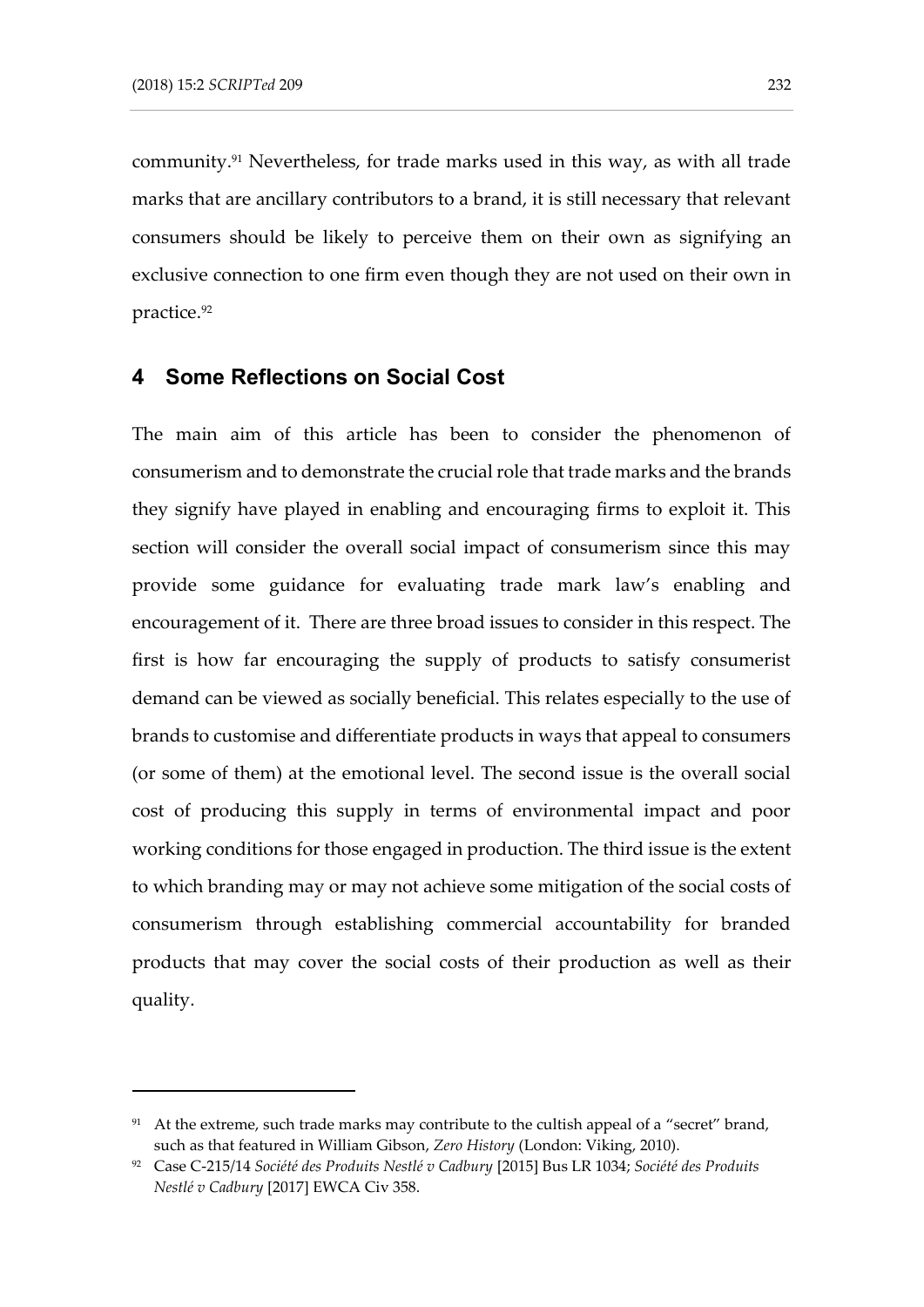community.<sup>91</sup> Nevertheless, for trade marks used in this way, as with all trade marks that are ancillary contributors to a brand, it is still necessary that relevant consumers should be likely to perceive them on their own as signifying an exclusive connection to one firm even though they are not used on their own in practice. 92

#### **4 Some Reflections on Social Cost**

The main aim of this article has been to consider the phenomenon of consumerism and to demonstrate the crucial role that trade marks and the brands they signify have played in enabling and encouraging firms to exploit it. This section will consider the overall social impact of consumerism since this may provide some guidance for evaluating trade mark law's enabling and encouragement of it. There are three broad issues to consider in this respect. The first is how far encouraging the supply of products to satisfy consumerist demand can be viewed as socially beneficial. This relates especially to the use of brands to customise and differentiate products in ways that appeal to consumers (or some of them) at the emotional level. The second issue is the overall social cost of producing this supply in terms of environmental impact and poor working conditions for those engaged in production. The third issue is the extent to which branding may or may not achieve some mitigation of the social costs of consumerism through establishing commercial accountability for branded products that may cover the social costs of their production as well as their quality.

<sup>&</sup>lt;sup>91</sup> At the extreme, such trade marks may contribute to the cultish appeal of a "secret" brand, such as that featured in William Gibson, *Zero History* (London: Viking, 2010).

<sup>92</sup> Case C-215/14 *Société des Produits Nestlé v Cadbury* [2015] Bus LR 1034; *Société des Produits Nestlé v Cadbury* [2017] EWCA Civ 358.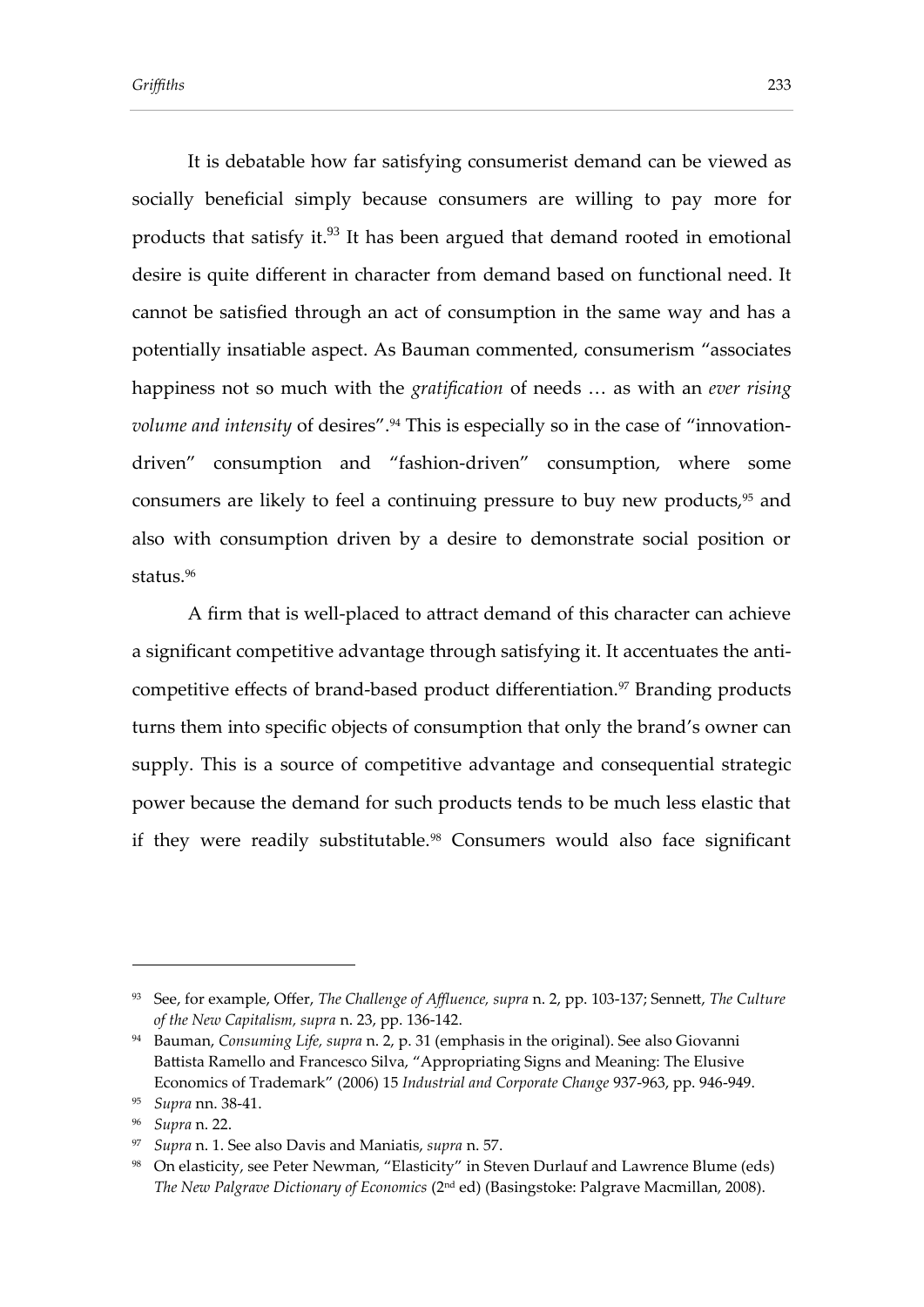It is debatable how far satisfying consumerist demand can be viewed as socially beneficial simply because consumers are willing to pay more for products that satisfy it.<sup>93</sup> It has been argued that demand rooted in emotional desire is quite different in character from demand based on functional need. It cannot be satisfied through an act of consumption in the same way and has a potentially insatiable aspect. As Bauman commented, consumerism "associates happiness not so much with the *gratification* of needs … as with an *ever rising volume and intensity* of desires".<sup>94</sup> This is especially so in the case of "innovationdriven" consumption and "fashion-driven" consumption, where some consumers are likely to feel a continuing pressure to buy new products,<sup>95</sup> and also with consumption driven by a desire to demonstrate social position or status $.96$ 

A firm that is well-placed to attract demand of this character can achieve a significant competitive advantage through satisfying it. It accentuates the anticompetitive effects of brand-based product differentiation.<sup>97</sup> Branding products turns them into specific objects of consumption that only the brand's owner can supply. This is a source of competitive advantage and consequential strategic power because the demand for such products tends to be much less elastic that if they were readily substitutable.<sup>98</sup> Consumers would also face significant

<sup>93</sup> See, for example, Offer, *The Challenge of Affluence, supra* n. 2, pp. 103-137; Sennett, *The Culture of the New Capitalism, supra* n. 23, pp. 136-142.

<sup>94</sup> Bauman, *Consuming Life, supra* n. 2, p. 31 (emphasis in the original). See also Giovanni Battista Ramello and Francesco Silva, "Appropriating Signs and Meaning: The Elusive Economics of Trademark" (2006) 15 *Industrial and Corporate Change* 937-963, pp. 946-949.

<sup>95</sup> *Supra* nn. 38-41.

<sup>96</sup> *Supra* n. 22.

<sup>97</sup> *Supra* n. 1. See also Davis and Maniatis, *supra* n. 57.

<sup>98</sup> On elasticity, see Peter Newman, "Elasticity" in Steven Durlauf and Lawrence Blume (eds) *The New Palgrave Dictionary of Economics* (2nd ed) (Basingstoke: Palgrave Macmillan, 2008).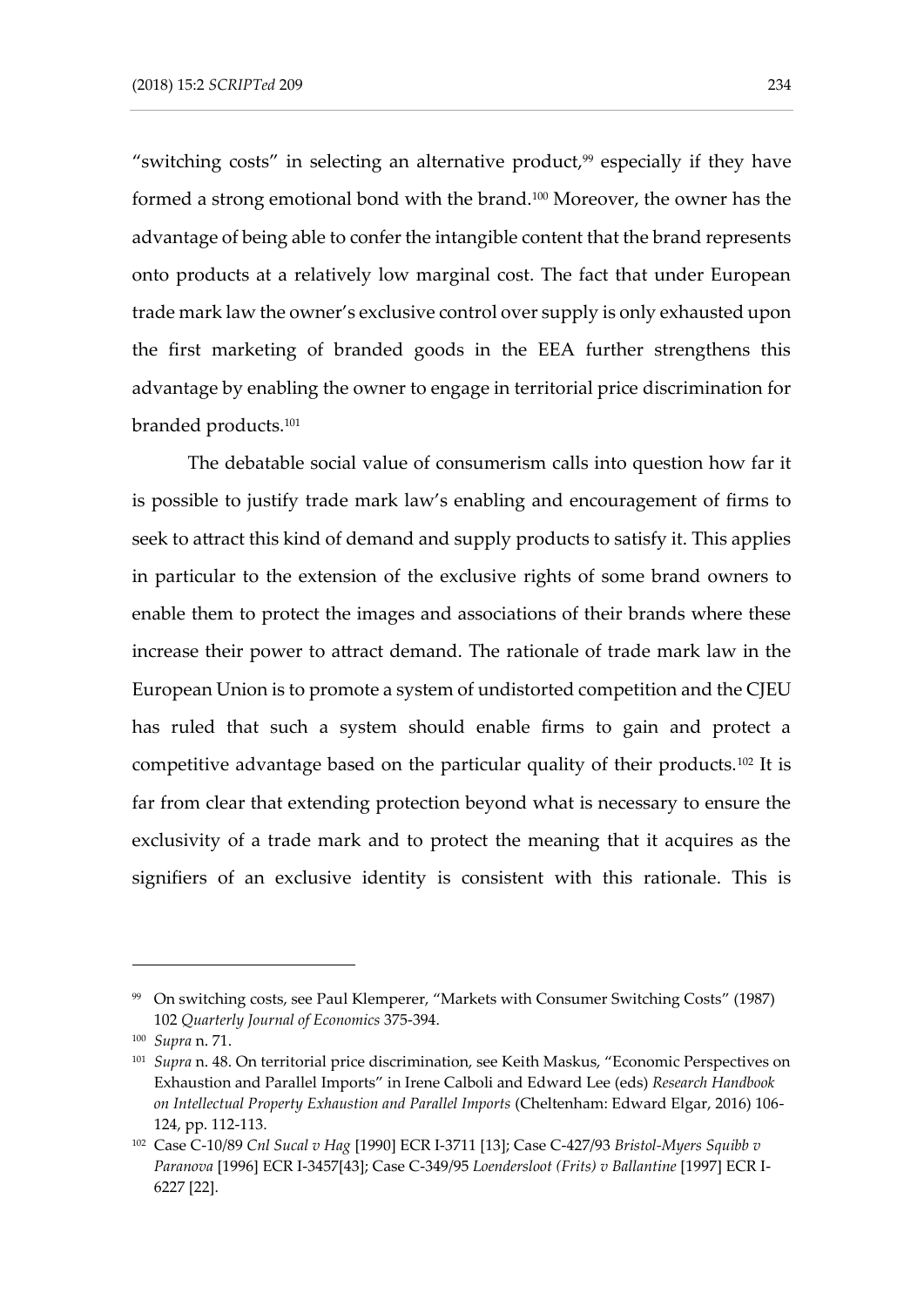"switching costs" in selecting an alternative product, $99$  especially if they have formed a strong emotional bond with the brand.<sup>100</sup> Moreover, the owner has the advantage of being able to confer the intangible content that the brand represents onto products at a relatively low marginal cost. The fact that under European trade mark law the owner's exclusive control over supply is only exhausted upon the first marketing of branded goods in the EEA further strengthens this advantage by enabling the owner to engage in territorial price discrimination for branded products.<sup>101</sup>

The debatable social value of consumerism calls into question how far it is possible to justify trade mark law's enabling and encouragement of firms to seek to attract this kind of demand and supply products to satisfy it. This applies in particular to the extension of the exclusive rights of some brand owners to enable them to protect the images and associations of their brands where these increase their power to attract demand. The rationale of trade mark law in the European Union is to promote a system of undistorted competition and the CJEU has ruled that such a system should enable firms to gain and protect a competitive advantage based on the particular quality of their products.<sup>102</sup> It is far from clear that extending protection beyond what is necessary to ensure the exclusivity of a trade mark and to protect the meaning that it acquires as the signifiers of an exclusive identity is consistent with this rationale. This is

<sup>99</sup> On switching costs, see Paul Klemperer, "Markets with Consumer Switching Costs" (1987) 102 *Quarterly Journal of Economics* 375-394.

<sup>100</sup> *Supra* n. 71.

<sup>101</sup> *Supra* n. 48. On territorial price discrimination, see Keith Maskus, "Economic Perspectives on Exhaustion and Parallel Imports" in Irene Calboli and Edward Lee (eds) *Research Handbook on Intellectual Property Exhaustion and Parallel Imports* (Cheltenham: Edward Elgar, 2016) 106- 124, pp. 112-113.

<sup>102</sup> Case C-10/89 *Cnl Sucal v Hag* [1990] ECR I-3711 [13]; Case C-427/93 *Bristol-Myers Squibb v Paranova* [1996] ECR I-3457[43]; Case C-349/95 *Loendersloot (Frits) v Ballantine* [1997] ECR I-6227 [22].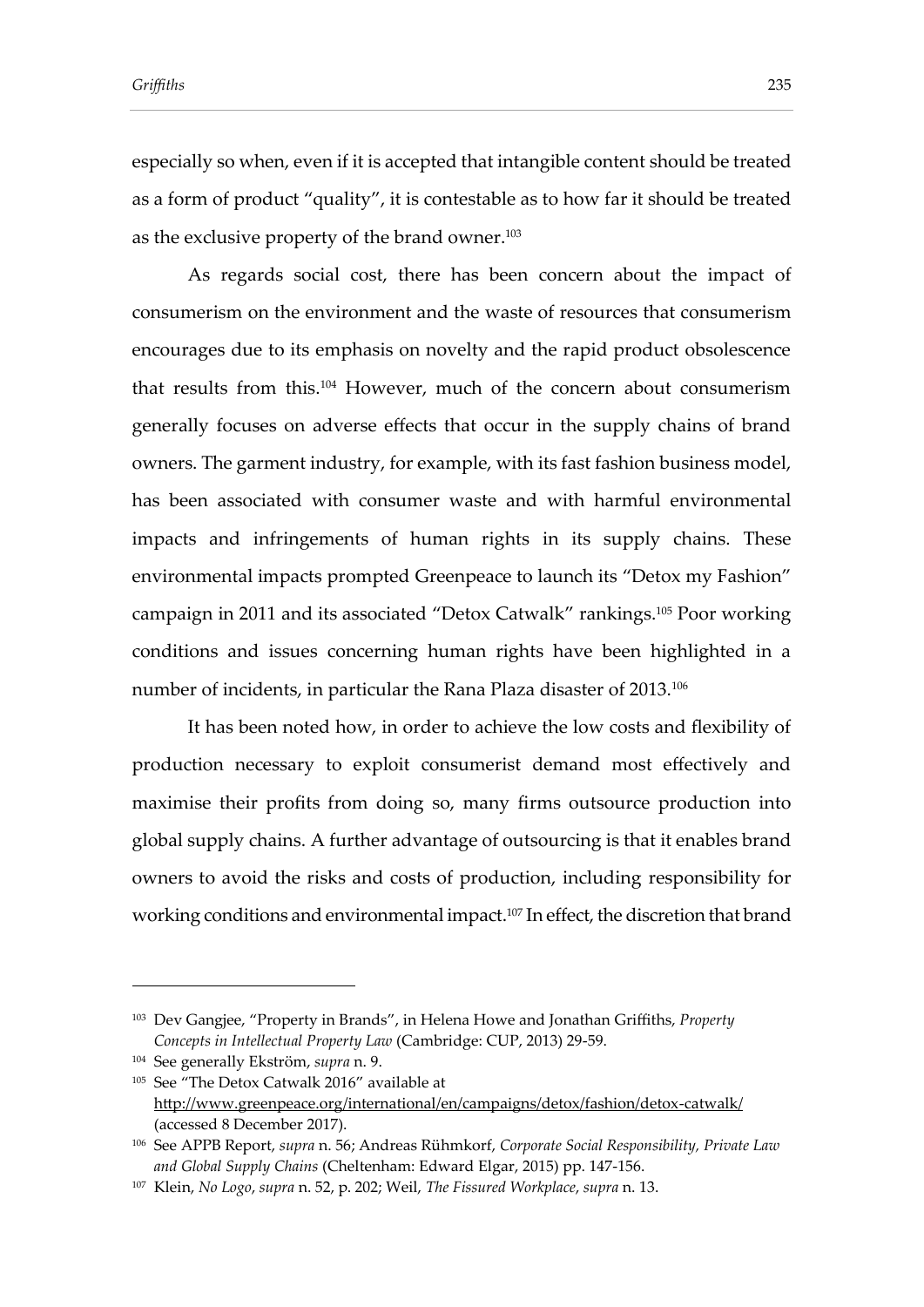especially so when, even if it is accepted that intangible content should be treated as a form of product "quality", it is contestable as to how far it should be treated as the exclusive property of the brand owner. $^{103}$ 

As regards social cost, there has been concern about the impact of consumerism on the environment and the waste of resources that consumerism encourages due to its emphasis on novelty and the rapid product obsolescence that results from this. <sup>104</sup> However, much of the concern about consumerism generally focuses on adverse effects that occur in the supply chains of brand owners. The garment industry, for example, with its fast fashion business model, has been associated with consumer waste and with harmful environmental impacts and infringements of human rights in its supply chains. These environmental impacts prompted Greenpeace to launch its "Detox my Fashion" campaign in 2011 and its associated "Detox Catwalk" rankings.<sup>105</sup> Poor working conditions and issues concerning human rights have been highlighted in a number of incidents, in particular the Rana Plaza disaster of 2013.<sup>106</sup>

It has been noted how, in order to achieve the low costs and flexibility of production necessary to exploit consumerist demand most effectively and maximise their profits from doing so, many firms outsource production into global supply chains. A further advantage of outsourcing is that it enables brand owners to avoid the risks and costs of production, including responsibility for working conditions and environmental impact.<sup>107</sup> In effect, the discretion that brand

<sup>103</sup> Dev Gangjee, "Property in Brands", in Helena Howe and Jonathan Griffiths, *Property Concepts in Intellectual Property Law* (Cambridge: CUP, 2013) 29-59.

<sup>104</sup> See generally Ekström, *supra* n. 9.

<sup>105</sup> See "The Detox Catwalk 2016" available at <http://www.greenpeace.org/international/en/campaigns/detox/fashion/detox-catwalk/> (accessed 8 December 2017).

<sup>106</sup> See APPB Report, *supra* n. 56; Andreas Rühmkorf, *Corporate Social Responsibility, Private Law and Global Supply Chains* (Cheltenham: Edward Elgar, 2015) pp. 147-156.

<sup>107</sup> Klein, *No Logo*, *supra* n. 52, p. 202; Weil, *The Fissured Workplace*, *supra* n. 13.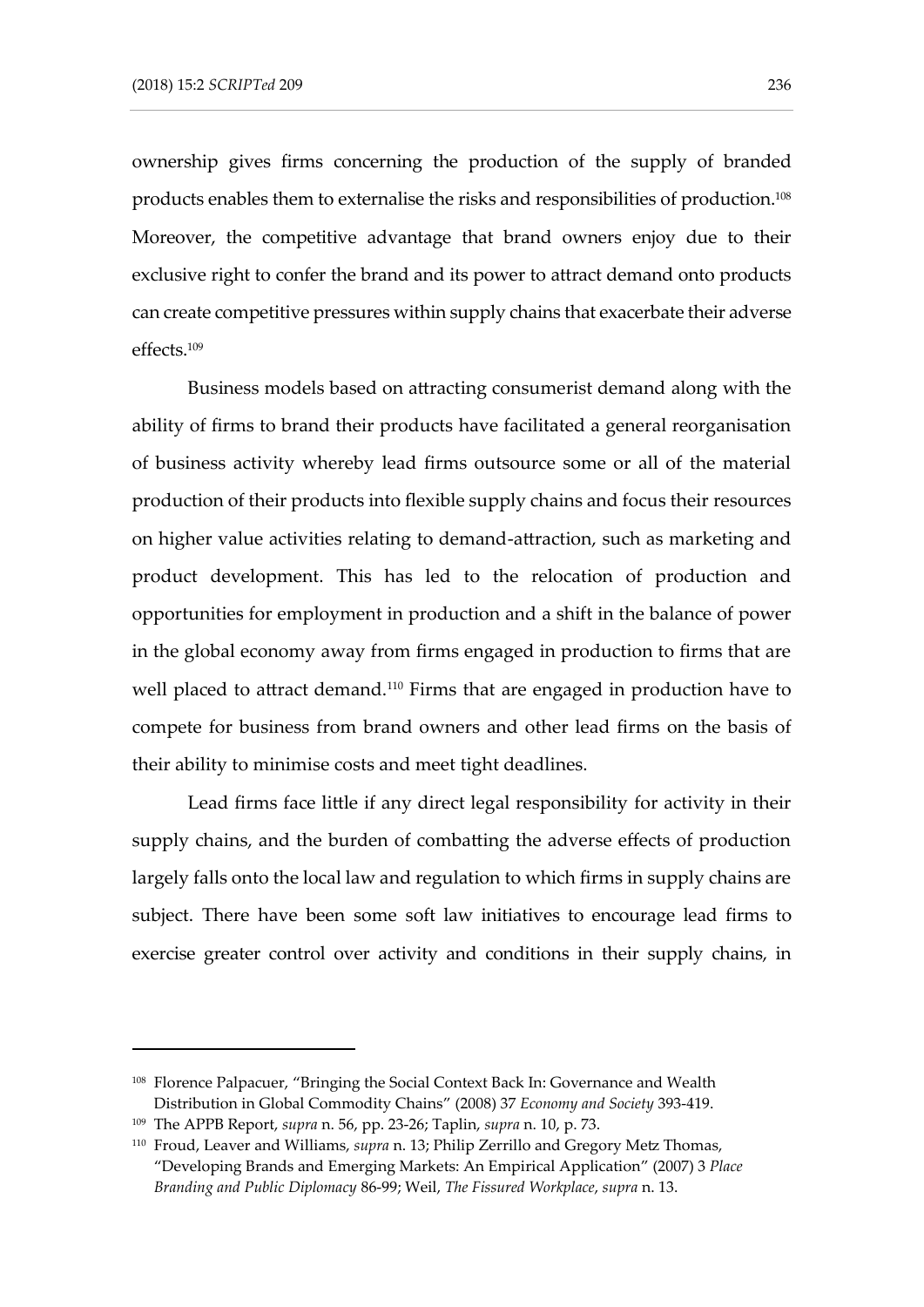ownership gives firms concerning the production of the supply of branded products enables them to externalise the risks and responsibilities of production.<sup>108</sup> Moreover, the competitive advantage that brand owners enjoy due to their exclusive right to confer the brand and its power to attract demand onto products can create competitive pressures within supply chains that exacerbate their adverse effects.<sup>109</sup>

Business models based on attracting consumerist demand along with the ability of firms to brand their products have facilitated a general reorganisation of business activity whereby lead firms outsource some or all of the material production of their products into flexible supply chains and focus their resources on higher value activities relating to demand-attraction, such as marketing and product development. This has led to the relocation of production and opportunities for employment in production and a shift in the balance of power in the global economy away from firms engaged in production to firms that are well placed to attract demand. <sup>110</sup> Firms that are engaged in production have to compete for business from brand owners and other lead firms on the basis of their ability to minimise costs and meet tight deadlines.

Lead firms face little if any direct legal responsibility for activity in their supply chains, and the burden of combatting the adverse effects of production largely falls onto the local law and regulation to which firms in supply chains are subject. There have been some soft law initiatives to encourage lead firms to exercise greater control over activity and conditions in their supply chains, in

<sup>108</sup> Florence Palpacuer, "Bringing the Social Context Back In: Governance and Wealth Distribution in Global Commodity Chains" (2008) 37 *Economy and Society* 393-419.

<sup>109</sup> The APPB Report, *supra* n. 56, pp. 23-26; Taplin, *supra* n. 10, p. 73.

<sup>110</sup> Froud, Leaver and Williams, *supra* n. 13; Philip Zerrillo and Gregory Metz Thomas, "Developing Brands and Emerging Markets: An Empirical Application" (2007) 3 *Place Branding and Public Diplomacy* 86-99; Weil, *The Fissured Workplace*, *supra* n. 13.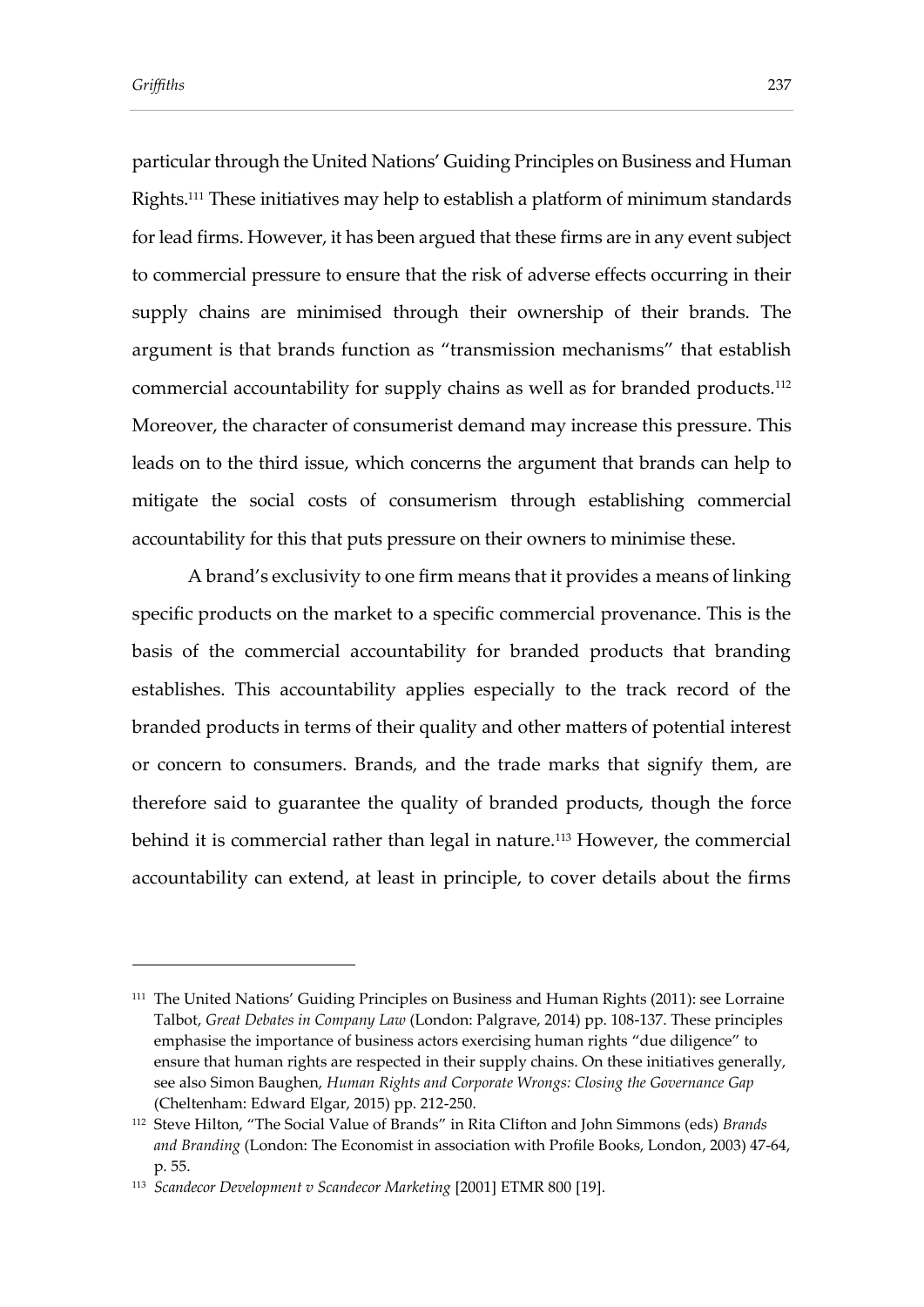particular through the United Nations' Guiding Principles on Business and Human Rights.<sup>111</sup> These initiatives may help to establish a platform of minimum standards for lead firms. However, it has been argued that these firms are in any event subject to commercial pressure to ensure that the risk of adverse effects occurring in their supply chains are minimised through their ownership of their brands. The argument is that brands function as "transmission mechanisms" that establish commercial accountability for supply chains as well as for branded products.<sup>112</sup> Moreover, the character of consumerist demand may increase this pressure. This leads on to the third issue, which concerns the argument that brands can help to mitigate the social costs of consumerism through establishing commercial accountability for this that puts pressure on their owners to minimise these.

A brand's exclusivity to one firm means that it provides a means of linking specific products on the market to a specific commercial provenance. This is the basis of the commercial accountability for branded products that branding establishes. This accountability applies especially to the track record of the branded products in terms of their quality and other matters of potential interest or concern to consumers. Brands, and the trade marks that signify them, are therefore said to guarantee the quality of branded products, though the force behind it is commercial rather than legal in nature.<sup>113</sup> However, the commercial accountability can extend, at least in principle, to cover details about the firms

<sup>&</sup>lt;sup>111</sup> The United Nations' Guiding Principles on Business and Human Rights (2011): see Lorraine Talbot, *Great Debates in Company Law* (London: Palgrave, 2014) pp. 108-137. These principles emphasise the importance of business actors exercising human rights "due diligence" to ensure that human rights are respected in their supply chains. On these initiatives generally, see also Simon Baughen, *Human Rights and Corporate Wrongs: Closing the Governance Gap*  (Cheltenham: Edward Elgar, 2015) pp. 212-250.

<sup>112</sup> Steve Hilton, "The Social Value of Brands" in Rita Clifton and John Simmons (eds) *Brands and Branding* (London: The Economist in association with Profile Books, London, 2003) 47-64, p. 55.

<sup>113</sup> *Scandecor Development v Scandecor Marketing* [2001] ETMR 800 [19].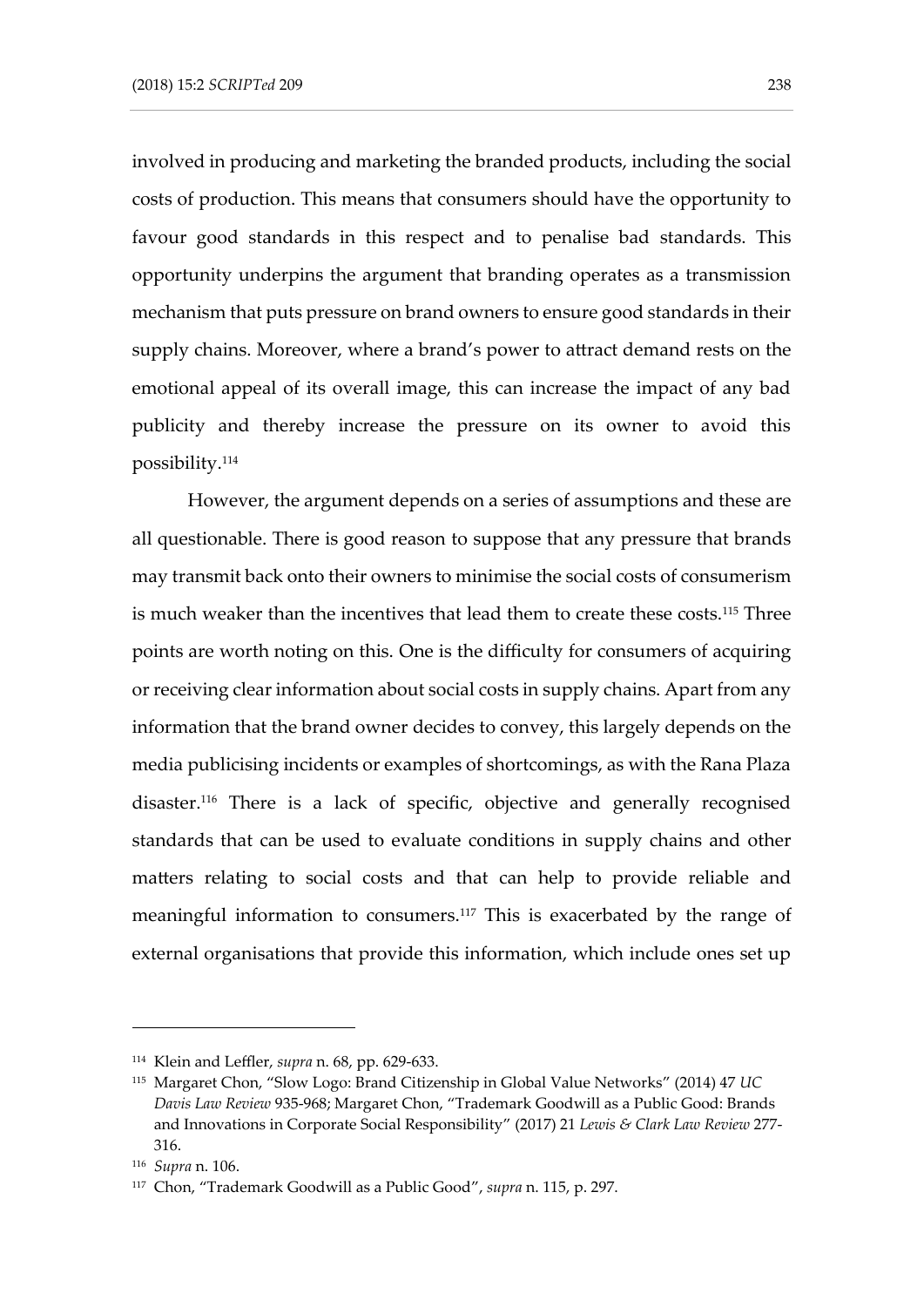involved in producing and marketing the branded products, including the social costs of production. This means that consumers should have the opportunity to favour good standards in this respect and to penalise bad standards. This opportunity underpins the argument that branding operates as a transmission mechanism that puts pressure on brand owners to ensure good standards in their supply chains. Moreover, where a brand's power to attract demand rests on the emotional appeal of its overall image, this can increase the impact of any bad publicity and thereby increase the pressure on its owner to avoid this possibility. 114

However, the argument depends on a series of assumptions and these are all questionable. There is good reason to suppose that any pressure that brands may transmit back onto their owners to minimise the social costs of consumerism is much weaker than the incentives that lead them to create these costs.<sup>115</sup> Three points are worth noting on this. One is the difficulty for consumers of acquiring or receiving clear information about social costs in supply chains. Apart from any information that the brand owner decides to convey, this largely depends on the media publicising incidents or examples of shortcomings, as with the Rana Plaza disaster.<sup>116</sup> There is a lack of specific, objective and generally recognised standards that can be used to evaluate conditions in supply chains and other matters relating to social costs and that can help to provide reliable and meaningful information to consumers.<sup>117</sup> This is exacerbated by the range of external organisations that provide this information, which include ones set up

<sup>114</sup> Klein and Leffler, *supra* n. 68, pp. 629-633.

<sup>115</sup> Margaret Chon, "Slow Logo: Brand Citizenship in Global Value Networks" (2014) 47 *UC Davis Law Review* 935-968; Margaret Chon, "Trademark Goodwill as a Public Good: Brands and Innovations in Corporate Social Responsibility" (2017) 21 *Lewis & Clark Law Review* 277- 316.

<sup>116</sup> *Supra* n. 106.

<sup>117</sup> Chon, "Trademark Goodwill as a Public Good", *supra* n. 115, p. 297.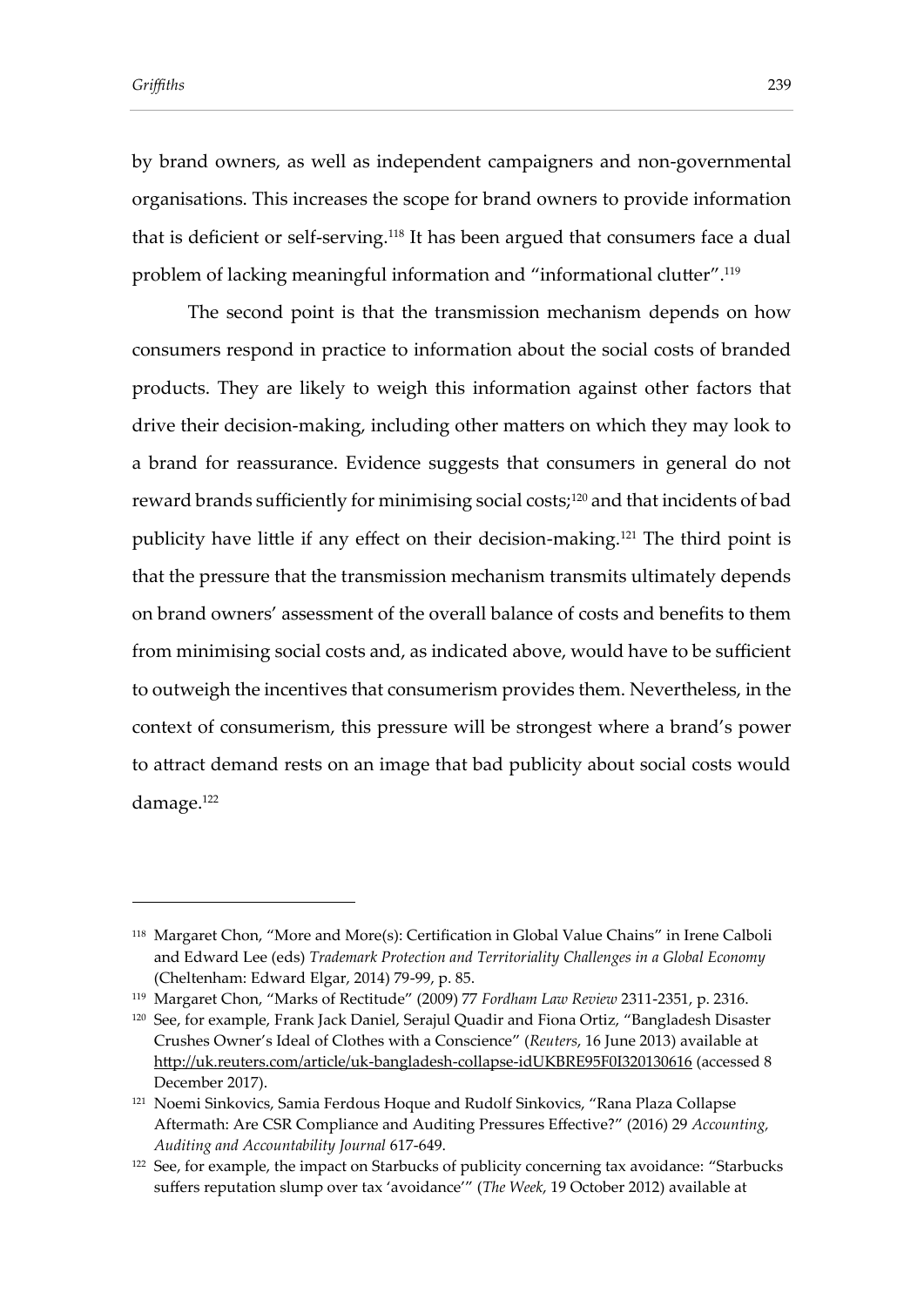by brand owners, as well as independent campaigners and non-governmental organisations. This increases the scope for brand owners to provide information that is deficient or self-serving.<sup>118</sup> It has been argued that consumers face a dual problem of lacking meaningful information and "informational clutter".<sup>119</sup>

The second point is that the transmission mechanism depends on how consumers respond in practice to information about the social costs of branded products. They are likely to weigh this information against other factors that drive their decision-making, including other matters on which they may look to a brand for reassurance. Evidence suggests that consumers in general do not reward brands sufficiently for minimising social costs;<sup>120</sup> and that incidents of bad publicity have little if any effect on their decision-making.<sup>121</sup> The third point is that the pressure that the transmission mechanism transmits ultimately depends on brand owners' assessment of the overall balance of costs and benefits to them from minimising social costs and, as indicated above, would have to be sufficient to outweigh the incentives that consumerism provides them. Nevertheless, in the context of consumerism, this pressure will be strongest where a brand's power to attract demand rests on an image that bad publicity about social costs would damage. 122

<sup>118</sup> Margaret Chon, "More and More(s): Certification in Global Value Chains" in Irene Calboli and Edward Lee (eds) *Trademark Protection and Territoriality Challenges in a Global Economy*  (Cheltenham: Edward Elgar, 2014) 79-99, p. 85.

<sup>119</sup> Margaret Chon, "Marks of Rectitude" (2009) 77 *Fordham Law Review* 2311-2351, p. 2316.

<sup>&</sup>lt;sup>120</sup> See, for example, Frank Jack Daniel, Serajul Quadir and Fiona Ortiz, "Bangladesh Disaster Crushes Owner's Ideal of Clothes with a Conscience" (*Reuters*, 16 June 2013) available at <http://uk.reuters.com/article/uk-bangladesh-collapse-idUKBRE95F0I320130616> (accessed 8 December 2017).

<sup>121</sup> Noemi Sinkovics, Samia Ferdous Hoque and Rudolf Sinkovics, "Rana Plaza Collapse Aftermath: Are CSR Compliance and Auditing Pressures Effective?" (2016) 29 *Accounting, Auditing and Accountability Journal* 617-649.

<sup>&</sup>lt;sup>122</sup> See, for example, the impact on Starbucks of publicity concerning tax avoidance: "Starbucks suffers reputation slump over tax 'avoidance'" (*The Week*, 19 October 2012) available at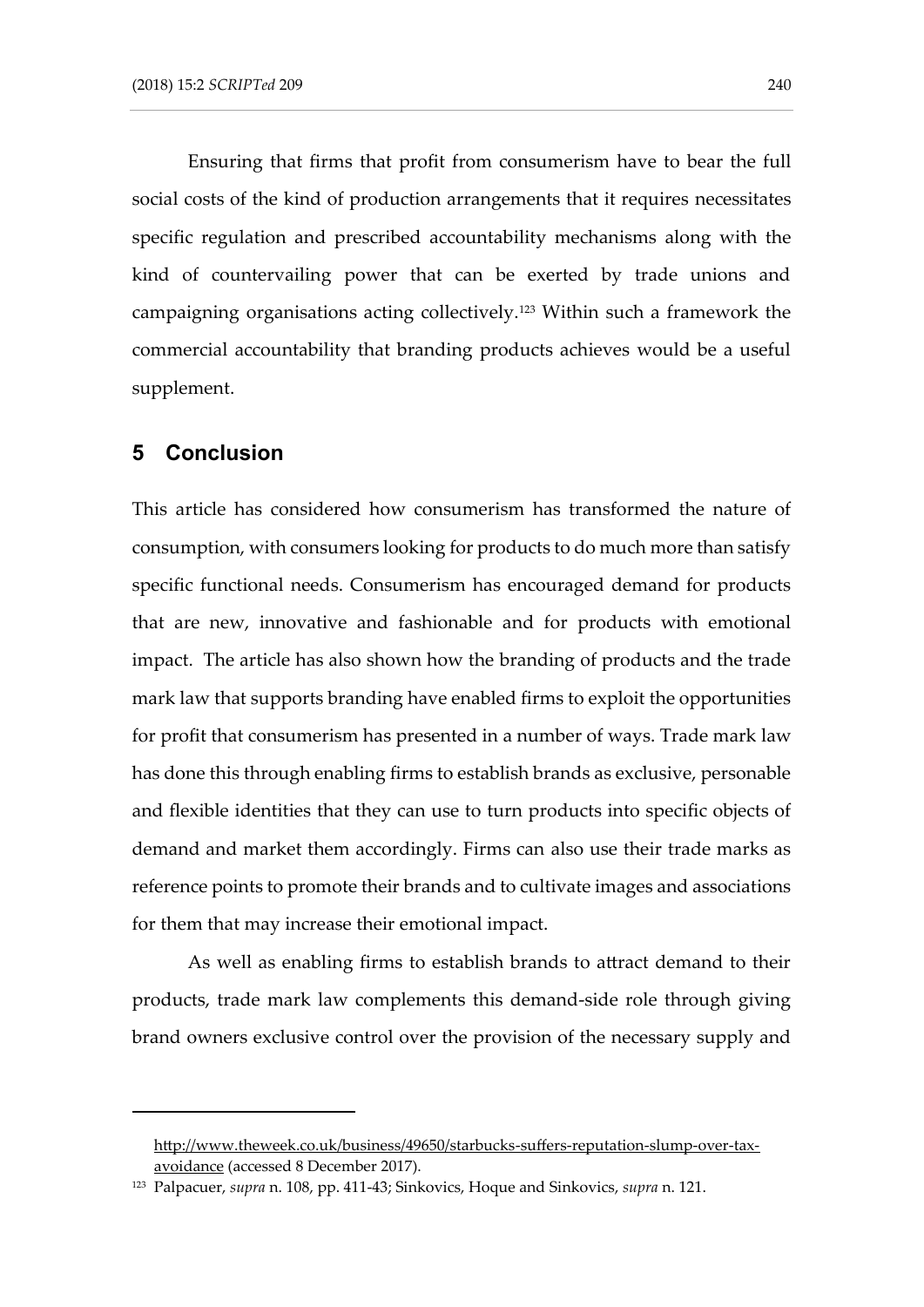Ensuring that firms that profit from consumerism have to bear the full social costs of the kind of production arrangements that it requires necessitates specific regulation and prescribed accountability mechanisms along with the kind of countervailing power that can be exerted by trade unions and campaigning organisations acting collectively.<sup>123</sup> Within such a framework the commercial accountability that branding products achieves would be a useful supplement.

#### **5 Conclusion**

-

This article has considered how consumerism has transformed the nature of consumption, with consumers looking for products to do much more than satisfy specific functional needs. Consumerism has encouraged demand for products that are new, innovative and fashionable and for products with emotional impact. The article has also shown how the branding of products and the trade mark law that supports branding have enabled firms to exploit the opportunities for profit that consumerism has presented in a number of ways. Trade mark law has done this through enabling firms to establish brands as exclusive, personable and flexible identities that they can use to turn products into specific objects of demand and market them accordingly. Firms can also use their trade marks as reference points to promote their brands and to cultivate images and associations for them that may increase their emotional impact.

As well as enabling firms to establish brands to attract demand to their products, trade mark law complements this demand-side role through giving brand owners exclusive control over the provision of the necessary supply and

[http://www.theweek.co.uk/business/49650/starbucks-suffers-reputation-slump-over-tax](http://www.theweek.co.uk/business/49650/starbucks-suffers-reputation-slump-over-tax-avoidance)[avoidance](http://www.theweek.co.uk/business/49650/starbucks-suffers-reputation-slump-over-tax-avoidance) (accessed 8 December 2017).

<sup>123</sup> Palpacuer, *supra* n. 108, pp. 411-43; Sinkovics, Hoque and Sinkovics, *supra* n. 121.